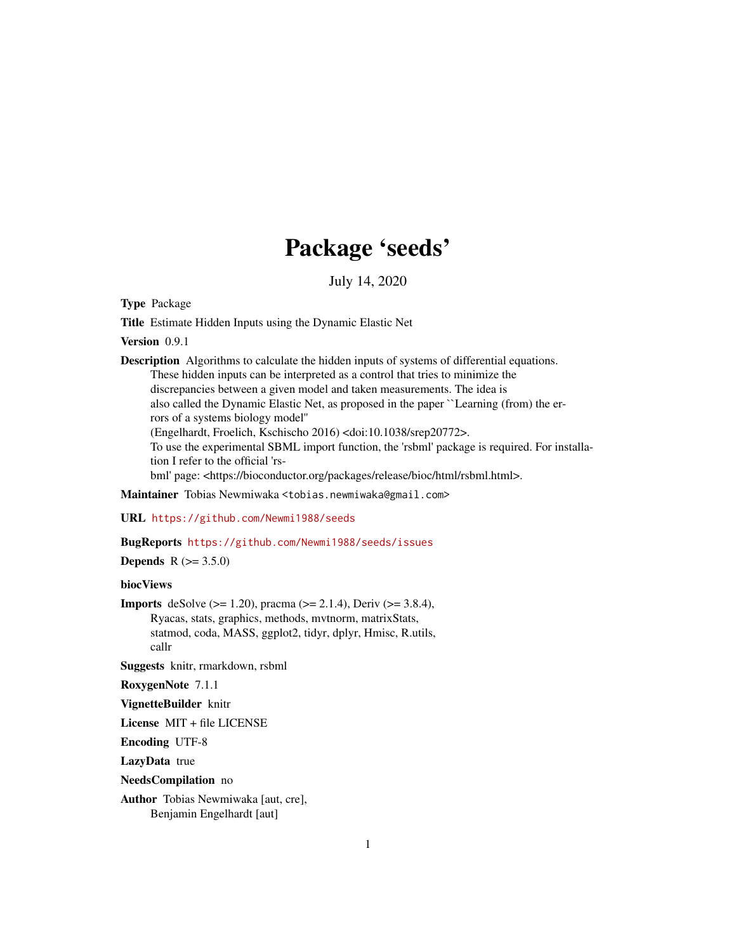## Package 'seeds'

July 14, 2020

<span id="page-0-0"></span>Type Package

Title Estimate Hidden Inputs using the Dynamic Elastic Net

Version 0.9.1

Description Algorithms to calculate the hidden inputs of systems of differential equations. These hidden inputs can be interpreted as a control that tries to minimize the discrepancies between a given model and taken measurements. The idea is also called the Dynamic Elastic Net, as proposed in the paper ``Learning (from) the errors of a systems biology model'' (Engelhardt, Froelich, Kschischo 2016) <doi:10.1038/srep20772>. To use the experimental SBML import function, the 'rsbml' package is required. For installation I refer to the official 'rsbml' page: <https://bioconductor.org/packages/release/bioc/html/rsbml.html>.

Maintainer Tobias Newmiwaka <tobias.newmiwaka@gmail.com>

URL <https://github.com/Newmi1988/seeds>

#### BugReports <https://github.com/Newmi1988/seeds/issues>

**Depends** R  $(>= 3.5.0)$ 

#### biocViews

**Imports** deSolve ( $> = 1.20$ ), pracma ( $> = 2.1.4$ ), Deriv ( $> = 3.8.4$ ), Ryacas, stats, graphics, methods, mvtnorm, matrixStats, statmod, coda, MASS, ggplot2, tidyr, dplyr, Hmisc, R.utils, callr

Suggests knitr, rmarkdown, rsbml

RoxygenNote 7.1.1

VignetteBuilder knitr

License MIT + file LICENSE

Encoding UTF-8

LazyData true

NeedsCompilation no

Author Tobias Newmiwaka [aut, cre], Benjamin Engelhardt [aut]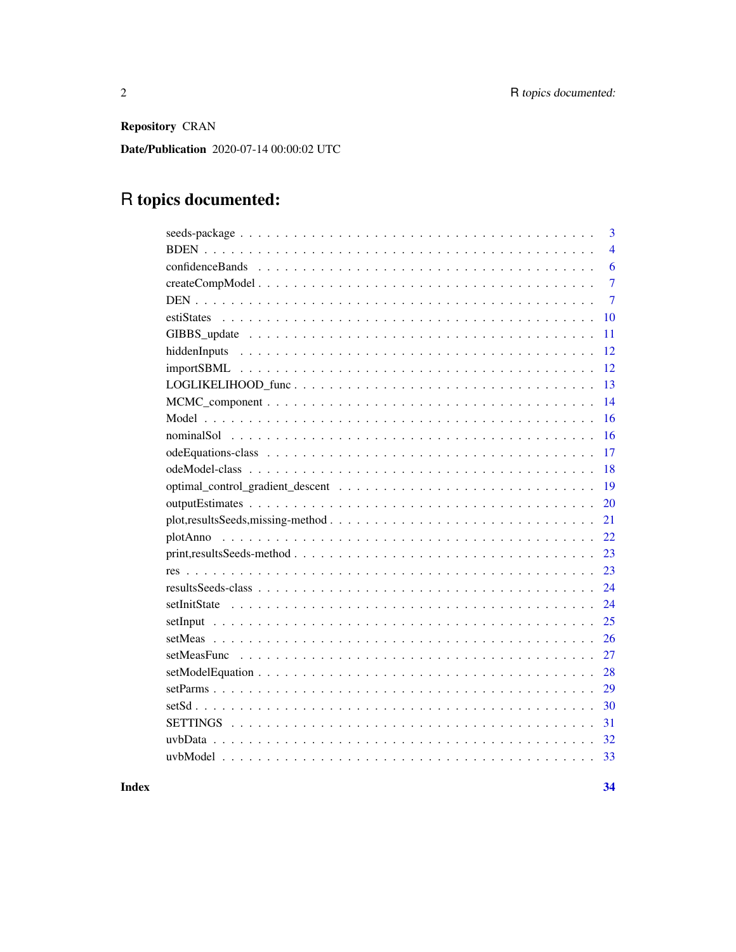Repository CRAN

Date/Publication 2020-07-14 00:00:02 UTC

## R topics documented:

| 3                        |
|--------------------------|
| $\overline{4}$           |
| 6                        |
| $\overline{7}$           |
| $\overline{7}$           |
| 10                       |
| 11                       |
| 12                       |
| 12                       |
| LOGLIKELIHOOD_func<br>13 |
| 14                       |
| 16                       |
| 16                       |
| 17                       |
| 18                       |
| 19                       |
| 20                       |
| 21                       |
| 22                       |
| 23                       |
| 23                       |
| 24                       |
| 24                       |
| 25                       |
| 26                       |
| 27                       |
| 28                       |
| 29                       |
| 30                       |
| 31                       |
| 32                       |
|                          |

**Index**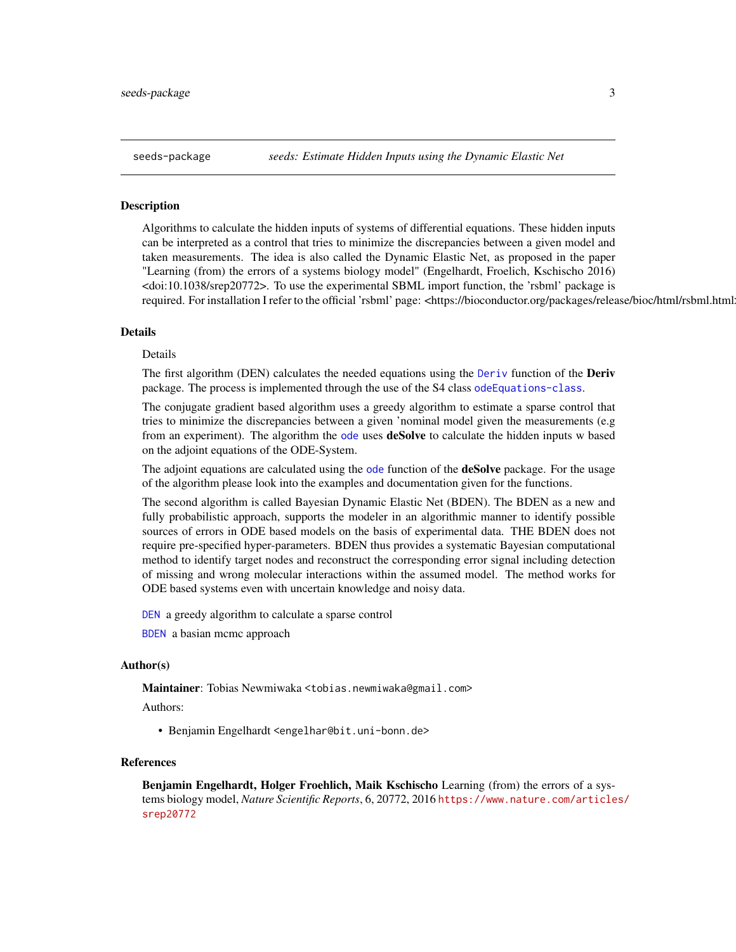<span id="page-2-0"></span>seeds-package *seeds: Estimate Hidden Inputs using the Dynamic Elastic Net*

#### Description

Algorithms to calculate the hidden inputs of systems of differential equations. These hidden inputs can be interpreted as a control that tries to minimize the discrepancies between a given model and taken measurements. The idea is also called the Dynamic Elastic Net, as proposed in the paper "Learning (from) the errors of a systems biology model" (Engelhardt, Froelich, Kschischo 2016) <doi:10.1038/srep20772>. To use the experimental SBML import function, the 'rsbml' package is required. For installation I refer to the official 'rsbml' page: <https://bioconductor.org/packages/release/bioc/html/rsbml.html

#### Details

#### Details

The first algorithm (DEN) calculates the needed equations using the [Deriv](#page-0-0) function of the **Deriv** package. The process is implemented through the use of the S4 class [odeEquations-class](#page-16-1).

The conjugate gradient based algorithm uses a greedy algorithm to estimate a sparse control that tries to minimize the discrepancies between a given 'nominal model given the measurements (e.g from an experiment). The algorithm the [ode](#page-0-0) uses **deSolve** to calculate the hidden inputs w based on the adjoint equations of the ODE-System.

The adjoint equations are calculated using the [ode](#page-0-0) function of the **deSolve** package. For the usage of the algorithm please look into the examples and documentation given for the functions.

The second algorithm is called Bayesian Dynamic Elastic Net (BDEN). The BDEN as a new and fully probabilistic approach, supports the modeler in an algorithmic manner to identify possible sources of errors in ODE based models on the basis of experimental data. THE BDEN does not require pre-specified hyper-parameters. BDEN thus provides a systematic Bayesian computational method to identify target nodes and reconstruct the corresponding error signal including detection of missing and wrong molecular interactions within the assumed model. The method works for ODE based systems even with uncertain knowledge and noisy data.

[DEN](#page-6-1) a greedy algorithm to calculate a sparse control

[BDEN](#page-3-1) a basian mcmc approach

#### Author(s)

Maintainer: Tobias Newmiwaka <tobias.newmiwaka@gmail.com>

Authors:

• Benjamin Engelhardt <engelhar@bit.uni-bonn.de>

#### References

Benjamin Engelhardt, Holger Froehlich, Maik Kschischo Learning (from) the errors of a systems biology model, *Nature Scientific Reports*, 6, 20772, 2016 [https://www.nature.com/article](https://www.nature.com/articles/srep20772)s/ [srep20772](https://www.nature.com/articles/srep20772)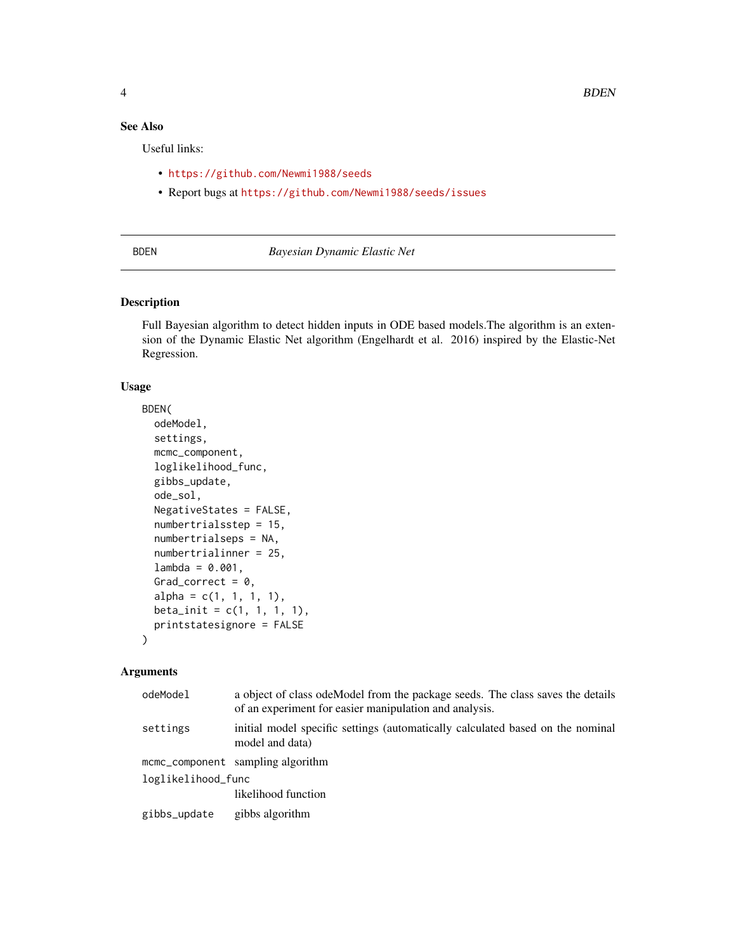## <span id="page-3-0"></span>See Also

Useful links:

- <https://github.com/Newmi1988/seeds>
- Report bugs at <https://github.com/Newmi1988/seeds/issues>

## <span id="page-3-1"></span>BDEN *Bayesian Dynamic Elastic Net*

#### Description

Full Bayesian algorithm to detect hidden inputs in ODE based models.The algorithm is an extension of the Dynamic Elastic Net algorithm (Engelhardt et al. 2016) inspired by the Elastic-Net Regression.

#### Usage

```
BDEN(
 odeModel,
  settings,
 mcmc_component,
  loglikelihood_func,
  gibbs_update,
  ode_sol,
 NegativeStates = FALSE,
  numbertrialsstep = 15,
  numbertrialseps = NA,
  numbertrialinner = 25,
  lambda = 0.001,
  Grad_correct = 0,
  alpha = c(1, 1, 1, 1),beta_{init = c(1, 1, 1, 1),
 printstatesignore = FALSE
\mathcal{L}
```
#### Arguments

| odeModel           | a object of class ode Model from the package seeds. The class saves the details<br>of an experiment for easier manipulation and analysis. |  |
|--------------------|-------------------------------------------------------------------------------------------------------------------------------------------|--|
| settings           | initial model specific settings (automatically calculated based on the nominal<br>model and data)                                         |  |
|                    | mcmc_component sampling algorithm                                                                                                         |  |
| loglikelihood_func |                                                                                                                                           |  |
|                    | likelihood function                                                                                                                       |  |
| gibbs_update       | gibbs algorithm                                                                                                                           |  |
|                    |                                                                                                                                           |  |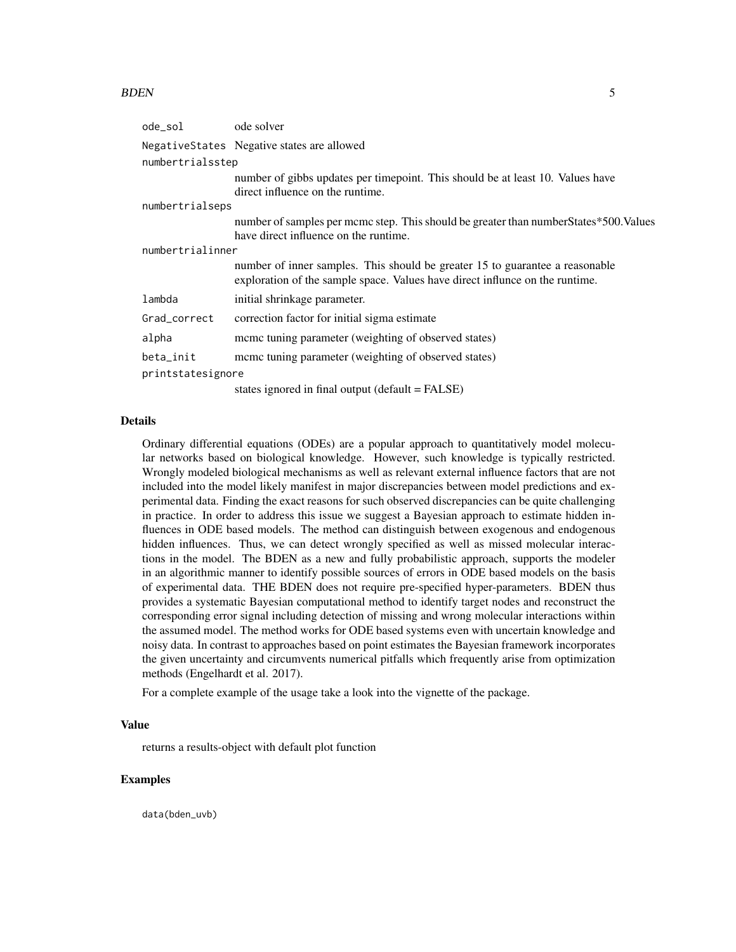#### BDEN 5

| ode_sol           | ode solver                                                                                                                                                   |  |
|-------------------|--------------------------------------------------------------------------------------------------------------------------------------------------------------|--|
|                   | Negative States Negative states are allowed                                                                                                                  |  |
| numbertrialsstep  |                                                                                                                                                              |  |
|                   | number of gibbs updates per time point. This should be at least 10. Values have<br>direct influence on the runtime.                                          |  |
| numbertrialseps   |                                                                                                                                                              |  |
|                   | number of samples per mcmc step. This should be greater than number States*500. Values<br>have direct influence on the runtime.                              |  |
| numbertrialinner  |                                                                                                                                                              |  |
|                   | number of inner samples. This should be greater 15 to guarantee a reasonable<br>exploration of the sample space. Values have direct influnce on the runtime. |  |
| lambda            | initial shrinkage parameter.                                                                                                                                 |  |
| Grad_correct      | correction factor for initial sigma estimate                                                                                                                 |  |
| alpha             | meme tuning parameter (weighting of observed states)                                                                                                         |  |
| beta_init         | meme tuning parameter (weighting of observed states)                                                                                                         |  |
| printstatesignore |                                                                                                                                                              |  |
|                   | states ignored in final output (default = FALSE)                                                                                                             |  |

#### Details

Ordinary differential equations (ODEs) are a popular approach to quantitatively model molecular networks based on biological knowledge. However, such knowledge is typically restricted. Wrongly modeled biological mechanisms as well as relevant external influence factors that are not included into the model likely manifest in major discrepancies between model predictions and experimental data. Finding the exact reasons for such observed discrepancies can be quite challenging in practice. In order to address this issue we suggest a Bayesian approach to estimate hidden influences in ODE based models. The method can distinguish between exogenous and endogenous hidden influences. Thus, we can detect wrongly specified as well as missed molecular interactions in the model. The BDEN as a new and fully probabilistic approach, supports the modeler in an algorithmic manner to identify possible sources of errors in ODE based models on the basis of experimental data. THE BDEN does not require pre-specified hyper-parameters. BDEN thus provides a systematic Bayesian computational method to identify target nodes and reconstruct the corresponding error signal including detection of missing and wrong molecular interactions within the assumed model. The method works for ODE based systems even with uncertain knowledge and noisy data. In contrast to approaches based on point estimates the Bayesian framework incorporates the given uncertainty and circumvents numerical pitfalls which frequently arise from optimization methods (Engelhardt et al. 2017).

For a complete example of the usage take a look into the vignette of the package.

#### Value

returns a results-object with default plot function

#### Examples

data(bden\_uvb)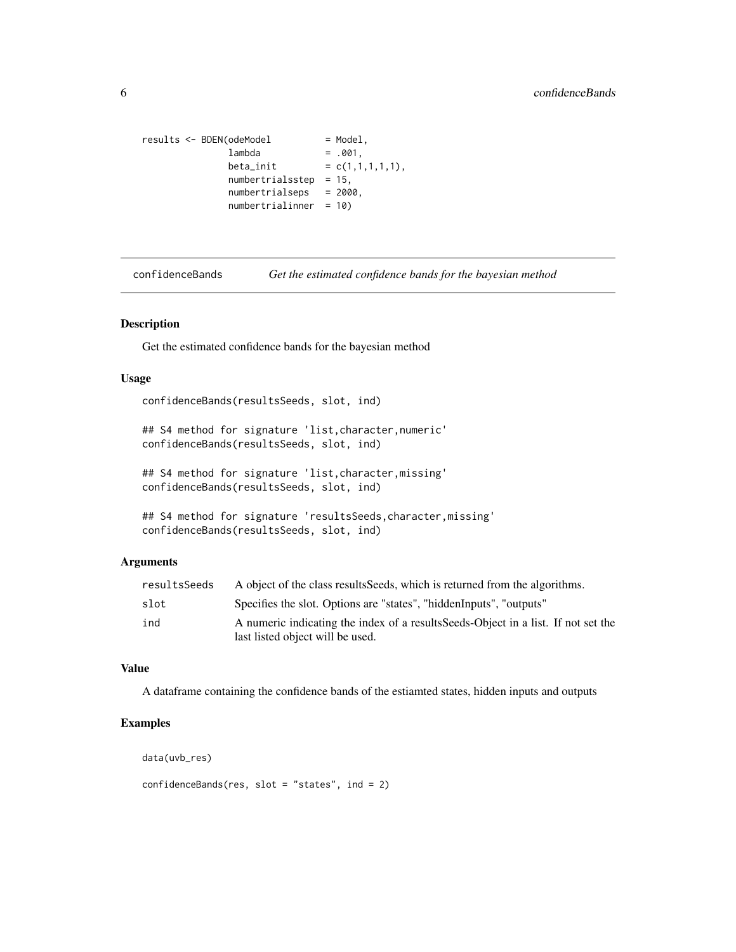```
results < -BDEN(odeModel = Model,
             lambda = .001,beta\_init = c(1,1,1,1,1),
             numbertrialsstep = 15,
             numbertrialseps = 2000,
             numbertrialinner = 10)
```

```
confidenceBands Get the estimated confidence bands for the bayesian method
```
Get the estimated confidence bands for the bayesian method

## Usage

```
confidenceBands(resultsSeeds, slot, ind)
```

```
## S4 method for signature 'list,character,numeric'
confidenceBands(resultsSeeds, slot, ind)
```

```
## S4 method for signature 'list,character,missing'
confidenceBands(resultsSeeds, slot, ind)
```

```
## S4 method for signature 'resultsSeeds, character, missing'
confidenceBands(resultsSeeds, slot, ind)
```
## Arguments

| resultsSeeds | A object of the class results Seeds, which is returned from the algorithms.                                            |
|--------------|------------------------------------------------------------------------------------------------------------------------|
| slot         | Specifies the slot. Options are "states", "hiddenInputs", "outputs"                                                    |
| ind          | A numeric indicating the index of a results Seeds-Object in a list. If not set the<br>last listed object will be used. |

## Value

A dataframe containing the confidence bands of the estiamted states, hidden inputs and outputs

#### Examples

```
data(uvb_res)
```

```
confidenceBands(res, slot = "states", ind = 2)
```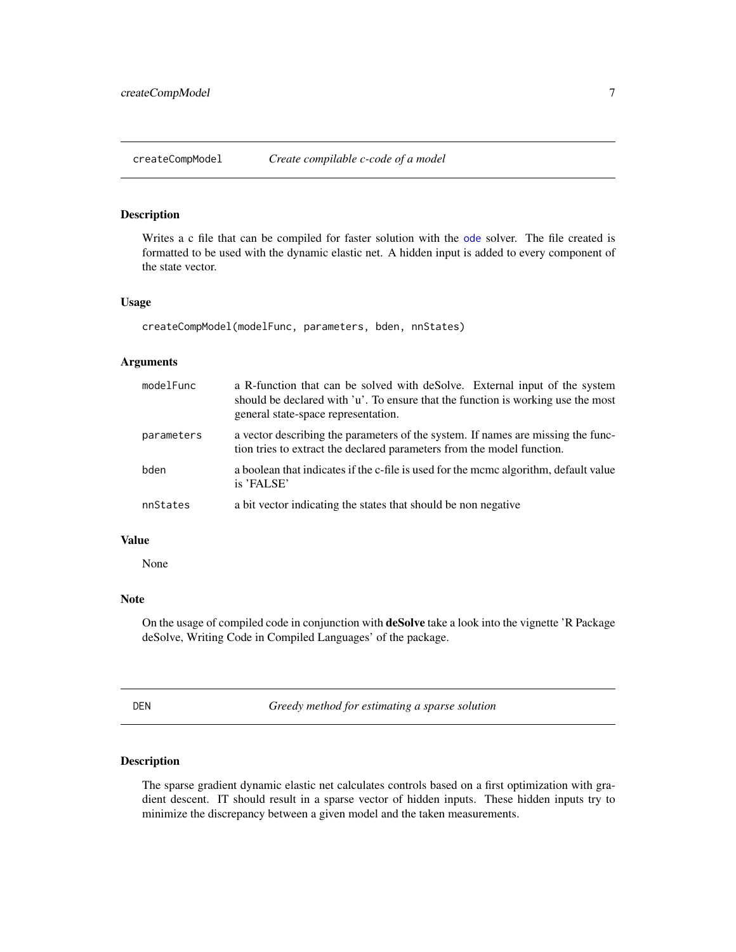<span id="page-6-0"></span>

Writes a c file that can be compiled for faster solution with the [ode](#page-0-0) solver. The file created is formatted to be used with the dynamic elastic net. A hidden input is added to every component of the state vector.

#### Usage

createCompModel(modelFunc, parameters, bden, nnStates)

#### Arguments

| modelFunc  | a R-function that can be solved with deSolve. External input of the system<br>should be declared with 'u'. To ensure that the function is working use the most<br>general state-space representation. |
|------------|-------------------------------------------------------------------------------------------------------------------------------------------------------------------------------------------------------|
| parameters | a vector describing the parameters of the system. If names are missing the func-<br>tion tries to extract the declared parameters from the model function.                                            |
| bden       | a boolean that indicates if the c-file is used for the mcmc algorithm, default value<br>is 'FALSE'                                                                                                    |
| nnStates   | a bit vector indicating the states that should be non negative                                                                                                                                        |

#### Value

None

#### Note

On the usage of compiled code in conjunction with deSolve take a look into the vignette 'R Package deSolve, Writing Code in Compiled Languages' of the package.

<span id="page-6-1"></span>DEN *Greedy method for estimating a sparse solution*

## Description

The sparse gradient dynamic elastic net calculates controls based on a first optimization with gradient descent. IT should result in a sparse vector of hidden inputs. These hidden inputs try to minimize the discrepancy between a given model and the taken measurements.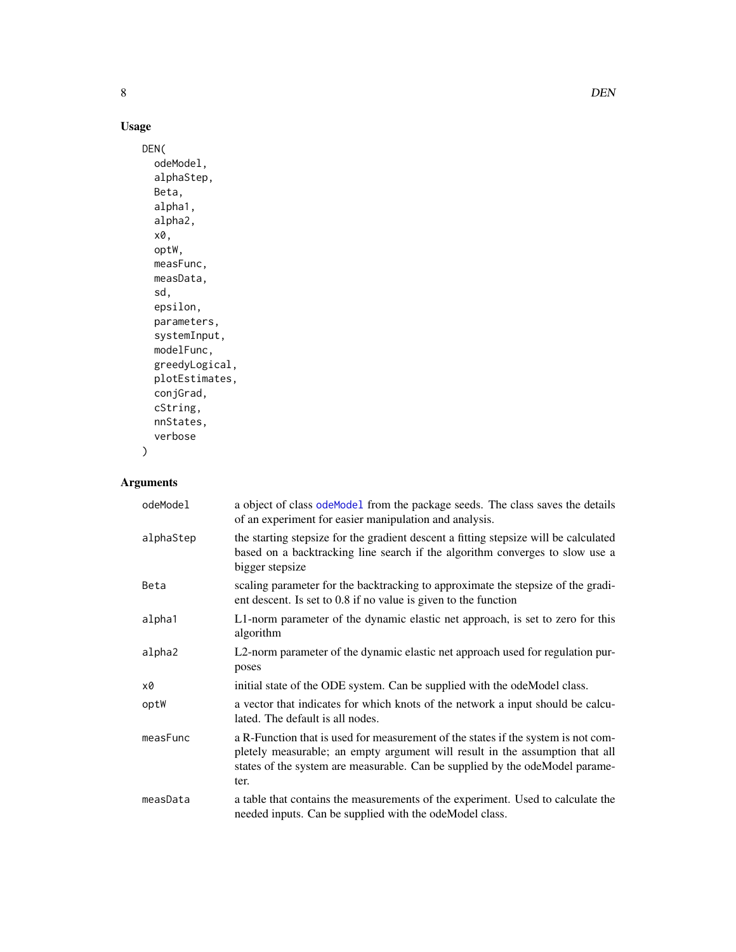## Usage

```
DEN(
 odeModel,
  alphaStep,
 Beta,
  alpha1,
 alpha2,
 x0,
 optW,
 measFunc,
 measData,
  sd,
 epsilon,
 parameters,
  systemInput,
 modelFunc,
 greedyLogical,
 plotEstimates,
  conjGrad,
 cString,
 nnStates,
  verbose
)
```
## Arguments

| odeModel  | a object of class odeMode1 from the package seeds. The class saves the details<br>of an experiment for easier manipulation and analysis.                                                                                                                  |
|-----------|-----------------------------------------------------------------------------------------------------------------------------------------------------------------------------------------------------------------------------------------------------------|
| alphaStep | the starting stepsize for the gradient descent a fitting stepsize will be calculated<br>based on a backtracking line search if the algorithm converges to slow use a<br>bigger stepsize                                                                   |
| Beta      | scaling parameter for the backtracking to approximate the stepsize of the gradi-<br>ent descent. Is set to 0.8 if no value is given to the function                                                                                                       |
| alpha1    | L1-norm parameter of the dynamic elastic net approach, is set to zero for this<br>algorithm                                                                                                                                                               |
| alpha2    | L2-norm parameter of the dynamic elastic net approach used for regulation pur-<br>poses                                                                                                                                                                   |
| x0        | initial state of the ODE system. Can be supplied with the odeModel class.                                                                                                                                                                                 |
| optW      | a vector that indicates for which knots of the network a input should be calcu-<br>lated. The default is all nodes.                                                                                                                                       |
| measFunc  | a R-Function that is used for measurement of the states if the system is not com-<br>pletely measurable; an empty argument will result in the assumption that all<br>states of the system are measurable. Can be supplied by the odeModel parame-<br>ter. |
| measData  | a table that contains the measurements of the experiment. Used to calculate the<br>needed inputs. Can be supplied with the odeModel class.                                                                                                                |

<span id="page-7-0"></span>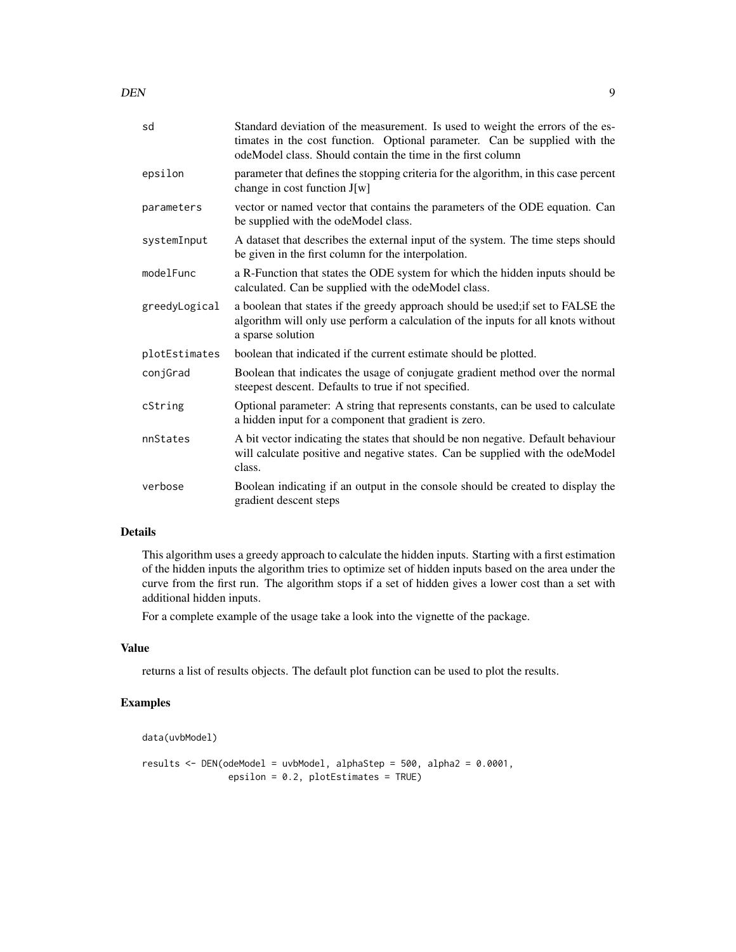DEN 99

| sd            | Standard deviation of the measurement. Is used to weight the errors of the es-<br>timates in the cost function. Optional parameter. Can be supplied with the<br>odeModel class. Should contain the time in the first column |
|---------------|-----------------------------------------------------------------------------------------------------------------------------------------------------------------------------------------------------------------------------|
| epsilon       | parameter that defines the stopping criteria for the algorithm, in this case percent<br>change in cost function J[w]                                                                                                        |
| parameters    | vector or named vector that contains the parameters of the ODE equation. Can<br>be supplied with the odeModel class.                                                                                                        |
| systemInput   | A dataset that describes the external input of the system. The time steps should<br>be given in the first column for the interpolation.                                                                                     |
| modelFunc     | a R-Function that states the ODE system for which the hidden inputs should be<br>calculated. Can be supplied with the odeModel class.                                                                                       |
| greedyLogical | a boolean that states if the greedy approach should be used; if set to FALSE the<br>algorithm will only use perform a calculation of the inputs for all knots without<br>a sparse solution                                  |
| plotEstimates | boolean that indicated if the current estimate should be plotted.                                                                                                                                                           |
| conjGrad      | Boolean that indicates the usage of conjugate gradient method over the normal<br>steepest descent. Defaults to true if not specified.                                                                                       |
| cString       | Optional parameter: A string that represents constants, can be used to calculate<br>a hidden input for a component that gradient is zero.                                                                                   |
| nnStates      | A bit vector indicating the states that should be non negative. Default behaviour<br>will calculate positive and negative states. Can be supplied with the odeModel<br>class.                                               |
| verbose       | Boolean indicating if an output in the console should be created to display the<br>gradient descent steps                                                                                                                   |

## Details

This algorithm uses a greedy approach to calculate the hidden inputs. Starting with a first estimation of the hidden inputs the algorithm tries to optimize set of hidden inputs based on the area under the curve from the first run. The algorithm stops if a set of hidden gives a lower cost than a set with additional hidden inputs.

For a complete example of the usage take a look into the vignette of the package.

## Value

returns a list of results objects. The default plot function can be used to plot the results.

## Examples

```
data(uvbModel)
```

```
results <- DEN(odeModel = uvbModel, alphaStep = 500, alpha2 = 0.0001,
               epsilon = 0.2, plotEstimates = TRUE)
```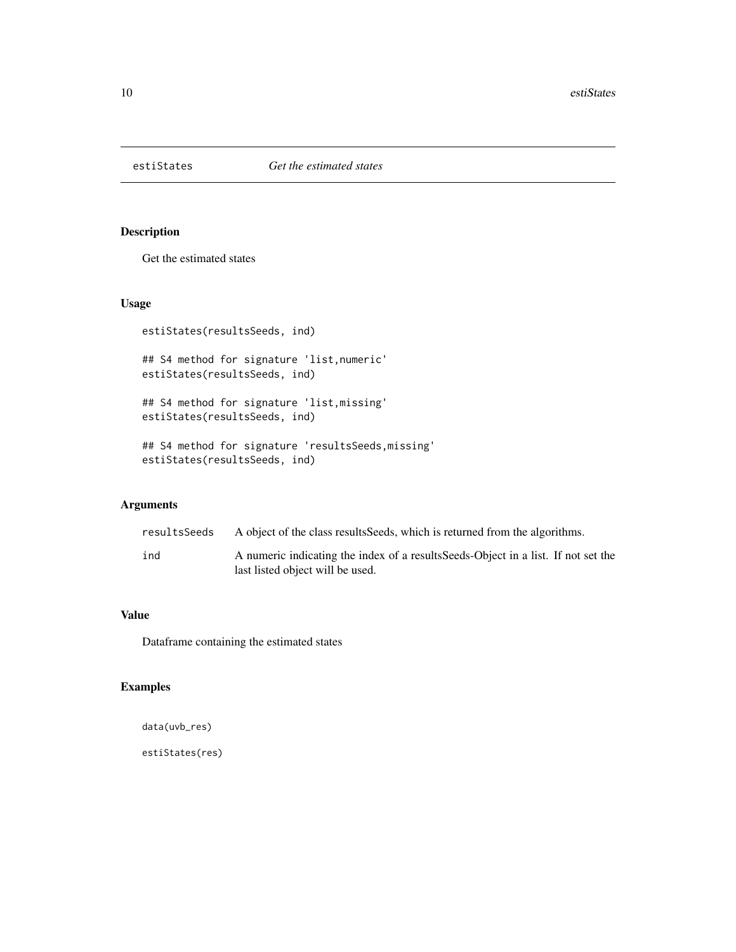<span id="page-9-0"></span>

Get the estimated states

## Usage

estiStates(resultsSeeds, ind)

## S4 method for signature 'list,numeric' estiStates(resultsSeeds, ind)

## S4 method for signature 'list,missing' estiStates(resultsSeeds, ind)

## S4 method for signature 'resultsSeeds,missing' estiStates(resultsSeeds, ind)

## Arguments

| resultsSeeds | A object of the class results Seeds, which is returned from the algorithms.                                            |
|--------------|------------------------------------------------------------------------------------------------------------------------|
| ind          | A numeric indicating the index of a results Seeds-Object in a list. If not set the<br>last listed object will be used. |

## Value

Dataframe containing the estimated states

## Examples

```
data(uvb_res)
```
estiStates(res)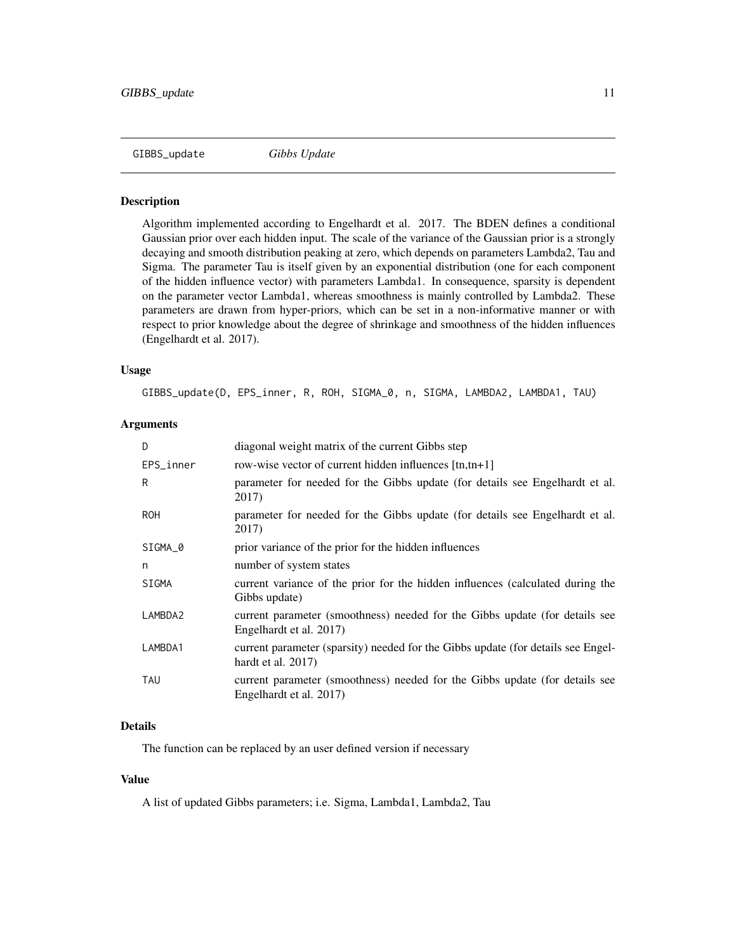<span id="page-10-0"></span>

Algorithm implemented according to Engelhardt et al. 2017. The BDEN defines a conditional Gaussian prior over each hidden input. The scale of the variance of the Gaussian prior is a strongly decaying and smooth distribution peaking at zero, which depends on parameters Lambda2, Tau and Sigma. The parameter Tau is itself given by an exponential distribution (one for each component of the hidden influence vector) with parameters Lambda1. In consequence, sparsity is dependent on the parameter vector Lambda1, whereas smoothness is mainly controlled by Lambda2. These parameters are drawn from hyper-priors, which can be set in a non-informative manner or with respect to prior knowledge about the degree of shrinkage and smoothness of the hidden influences (Engelhardt et al. 2017).

#### Usage

GIBBS\_update(D, EPS\_inner, R, ROH, SIGMA\_0, n, SIGMA, LAMBDA2, LAMBDA1, TAU)

#### Arguments

| D          | diagonal weight matrix of the current Gibbs step                                                          |
|------------|-----------------------------------------------------------------------------------------------------------|
| EPS_inner  | row-wise vector of current hidden influences [tn,tn+1]                                                    |
| R          | parameter for needed for the Gibbs update (for details see Engelhardt et al.<br>2017)                     |
| <b>ROH</b> | parameter for needed for the Gibbs update (for details see Engelhardt et al.<br>2017)                     |
| SIGMA_0    | prior variance of the prior for the hidden influences                                                     |
| n          | number of system states                                                                                   |
| SIGMA      | current variance of the prior for the hidden influences (calculated during the<br>Gibbs update)           |
| LAMBDA2    | current parameter (smoothness) needed for the Gibbs update (for details see<br>Engelhardt et al. 2017)    |
| LAMBDA1    | current parameter (sparsity) needed for the Gibbs update (for details see Engel-<br>hardt et al. $2017$ ) |
| TAU        | current parameter (smoothness) needed for the Gibbs update (for details see<br>Engelhardt et al. 2017)    |

#### Details

The function can be replaced by an user defined version if necessary

#### Value

A list of updated Gibbs parameters; i.e. Sigma, Lambda1, Lambda2, Tau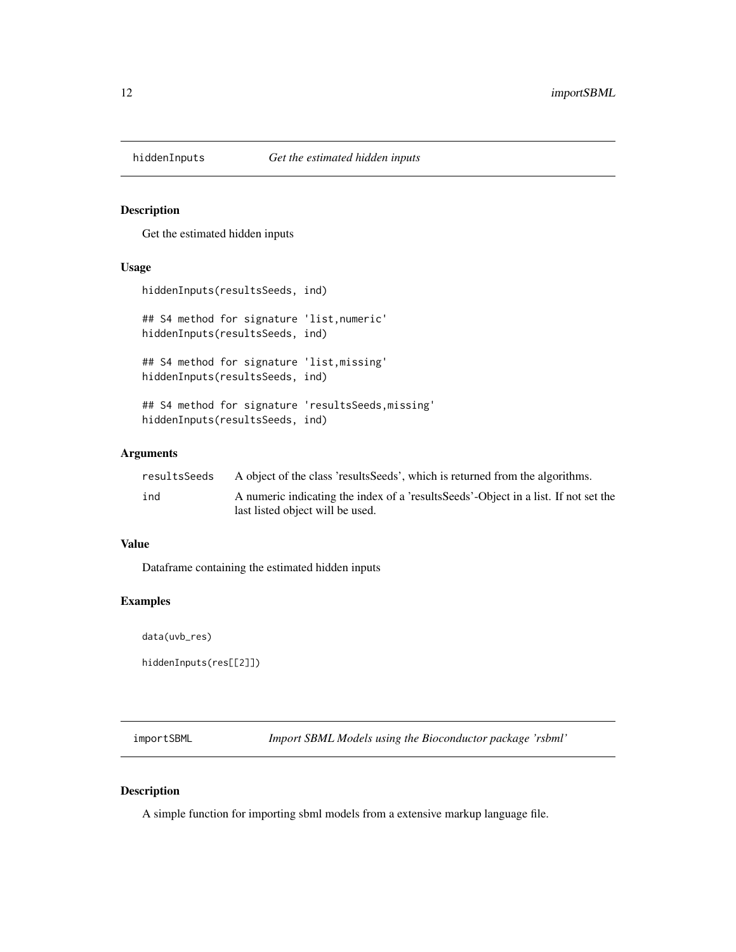<span id="page-11-0"></span>

Get the estimated hidden inputs

#### Usage

```
hiddenInputs(resultsSeeds, ind)
```
## S4 method for signature 'list,numeric' hiddenInputs(resultsSeeds, ind)

## S4 method for signature 'list,missing' hiddenInputs(resultsSeeds, ind)

## S4 method for signature 'resultsSeeds,missing' hiddenInputs(resultsSeeds, ind)

#### Arguments

| resultsSeeds | A object of the class 'results Seeds', which is returned from the algorithms.        |
|--------------|--------------------------------------------------------------------------------------|
| ind          | A numeric indicating the index of a 'results Seeds'-Object in a list. If not set the |
|              | last listed object will be used.                                                     |

## Value

Dataframe containing the estimated hidden inputs

## Examples

data(uvb\_res)

hiddenInputs(res[[2]])

importSBML *Import SBML Models using the Bioconductor package 'rsbml'*

## Description

A simple function for importing sbml models from a extensive markup language file.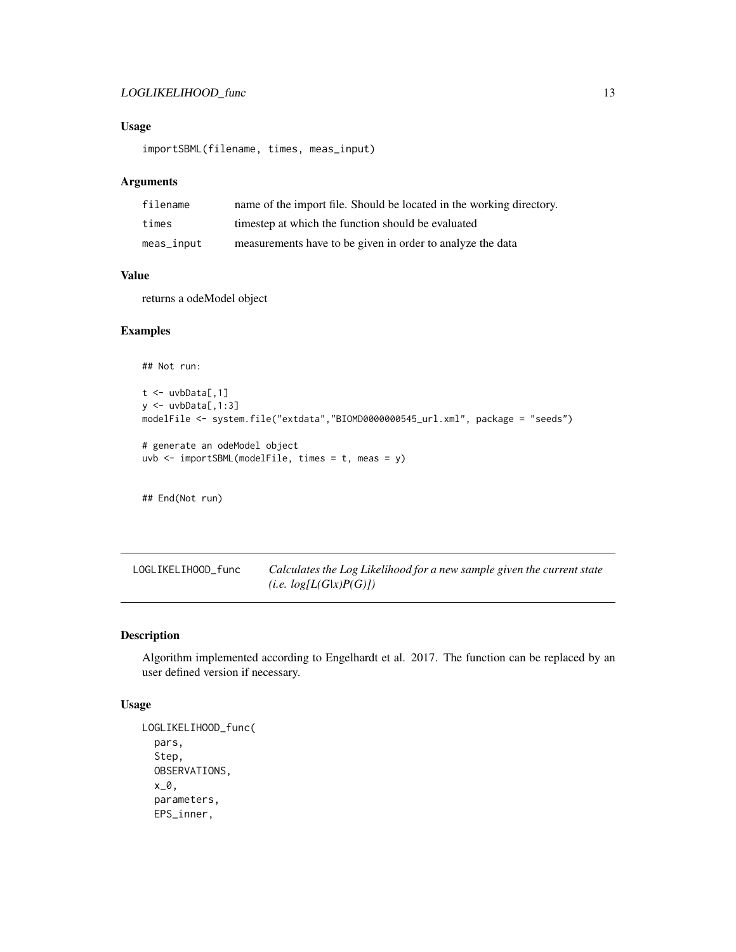## <span id="page-12-0"></span>LOGLIKELIHOOD\_func 13

## Usage

importSBML(filename, times, meas\_input)

## Arguments

| filename   | name of the import file. Should be located in the working directory. |
|------------|----------------------------------------------------------------------|
| times      | timestep at which the function should be evaluated                   |
| meas_input | measurements have to be given in order to analyze the data           |

#### Value

returns a odeModel object

## Examples

## Not run:

```
t <- uvbData[,1]
y \leftarrow uvbbA[, 1:3]
modelFile <- system.file("extdata","BIOMD0000000545_url.xml", package = "seeds")
# generate an odeModel object
uvb \leq importSBML(modelFile, times = t, meas = y)
```
## End(Not run)

LOGLIKELIHOOD\_func *Calculates the Log Likelihood for a new sample given the current state (i.e. log[L(G|x)P(G)])*

## Description

Algorithm implemented according to Engelhardt et al. 2017. The function can be replaced by an user defined version if necessary.

#### Usage

```
LOGLIKELIHOOD_func(
  pars,
  Step,
  OBSERVATIONS,
  x_0,
  parameters,
 EPS_inner,
```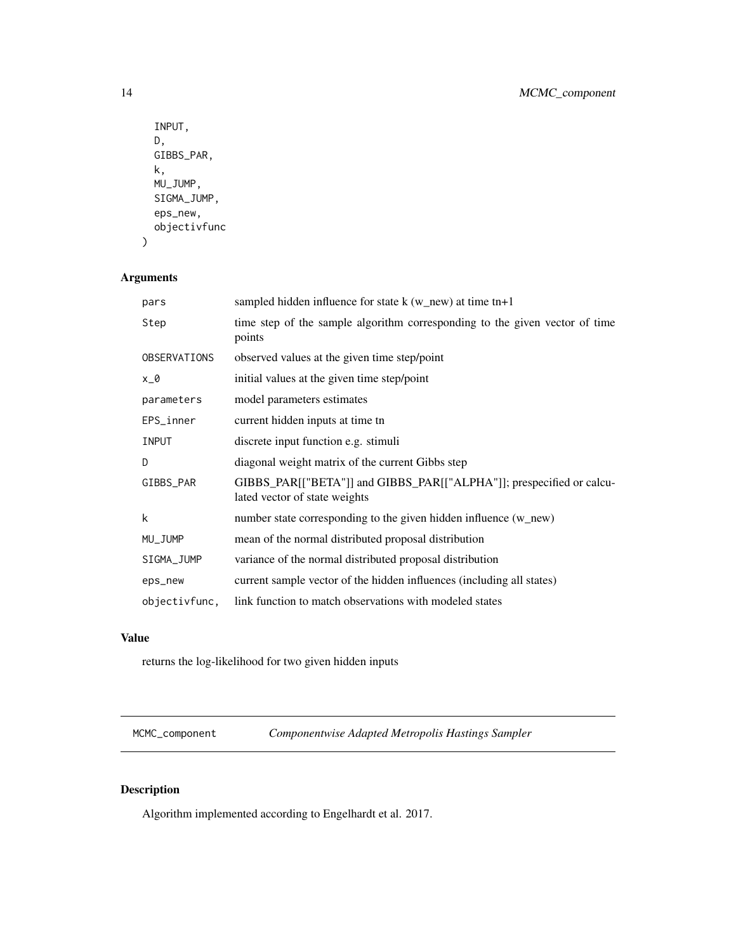```
INPUT,
 D,
 GIBBS_PAR,
 k,
 MU_JUMP,
 SIGMA_JUMP,
 eps_new,
 objectivfunc
)
```
## Arguments

| pars          | sampled hidden influence for state $k$ (w_new) at time tn+1                                           |
|---------------|-------------------------------------------------------------------------------------------------------|
| Step          | time step of the sample algorithm corresponding to the given vector of time<br>points                 |
| OBSERVATIONS  | observed values at the given time step/point                                                          |
| $x_0$         | initial values at the given time step/point                                                           |
| parameters    | model parameters estimates                                                                            |
| EPS_inner     | current hidden inputs at time tn                                                                      |
| <b>INPUT</b>  | discrete input function e.g. stimuli                                                                  |
| D             | diagonal weight matrix of the current Gibbs step                                                      |
| GIBBS_PAR     | GIBBS_PAR[["BETA"]] and GIBBS_PAR[["ALPHA"]]; prespecified or calcu-<br>lated vector of state weights |
| k             | number state corresponding to the given hidden influence (w_new)                                      |
| MU_JUMP       | mean of the normal distributed proposal distribution                                                  |
| SIGMA_JUMP    | variance of the normal distributed proposal distribution                                              |
| eps_new       | current sample vector of the hidden influences (including all states)                                 |
| objectivfunc, | link function to match observations with modeled states                                               |

## Value

returns the log-likelihood for two given hidden inputs

MCMC\_component *Componentwise Adapted Metropolis Hastings Sampler*

## Description

Algorithm implemented according to Engelhardt et al. 2017.

<span id="page-13-0"></span>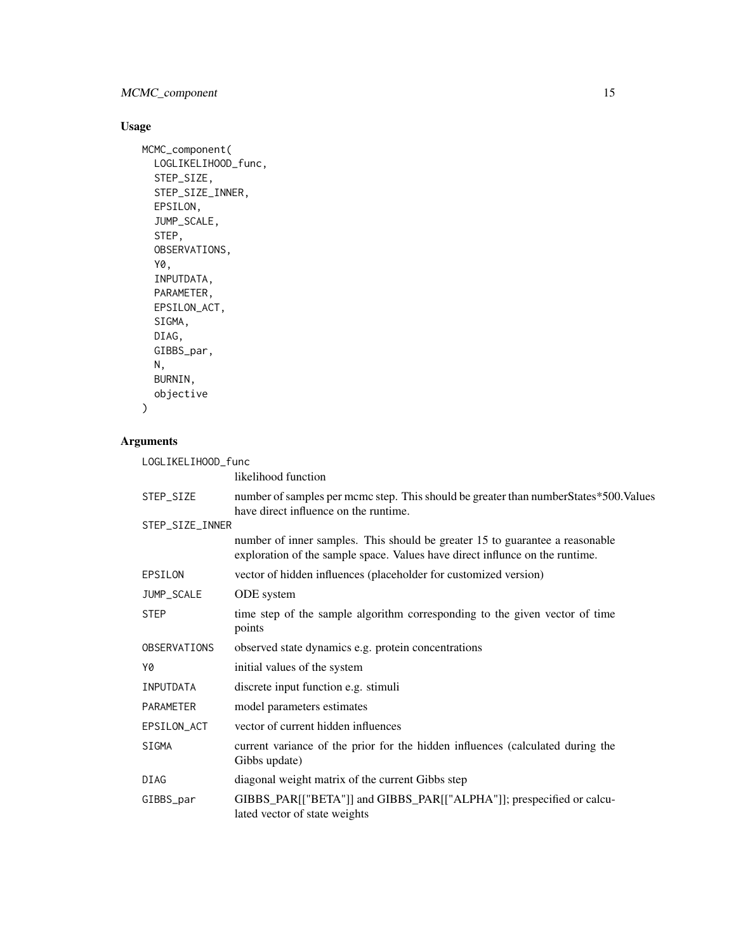## MCMC\_component 15

## Usage

```
MCMC_component(
  LOGLIKELIHOOD_func,
  STEP_SIZE,
  STEP_SIZE_INNER,
  EPSILON,
  JUMP_SCALE,
  STEP,
  OBSERVATIONS,
  Y0,
  INPUTDATA,
  PARAMETER,
  EPSILON_ACT,
  SIGMA,
  DIAG,
  GIBBS_par,
  N,
  BURNIN,
  objective
```

```
)
```
## Arguments

| LOGLIKELIHOOD_func |                                                                                                                                                              |
|--------------------|--------------------------------------------------------------------------------------------------------------------------------------------------------------|
|                    | likelihood function                                                                                                                                          |
| STEP_SIZE          | number of samples per mcmc step. This should be greater than number States*500. Values<br>have direct influence on the runtime.                              |
| STEP_SIZE_INNER    |                                                                                                                                                              |
|                    | number of inner samples. This should be greater 15 to guarantee a reasonable<br>exploration of the sample space. Values have direct influnce on the runtime. |
| EPSILON            | vector of hidden influences (placeholder for customized version)                                                                                             |
| JUMP_SCALE         | ODE system                                                                                                                                                   |
| <b>STEP</b>        | time step of the sample algorithm corresponding to the given vector of time<br>points                                                                        |
| OBSERVATIONS       | observed state dynamics e.g. protein concentrations                                                                                                          |
| Y0                 | initial values of the system                                                                                                                                 |
| INPUTDATA          | discrete input function e.g. stimuli                                                                                                                         |
| PARAMETER          | model parameters estimates                                                                                                                                   |
| EPSILON_ACT        | vector of current hidden influences                                                                                                                          |
| SIGMA              | current variance of the prior for the hidden influences (calculated during the<br>Gibbs update)                                                              |
| DIAG               | diagonal weight matrix of the current Gibbs step                                                                                                             |
| GIBBS_par          | GIBBS_PAR[["BETA"]] and GIBBS_PAR[["ALPHA"]]; prespecified or calcu-<br>lated vector of state weights                                                        |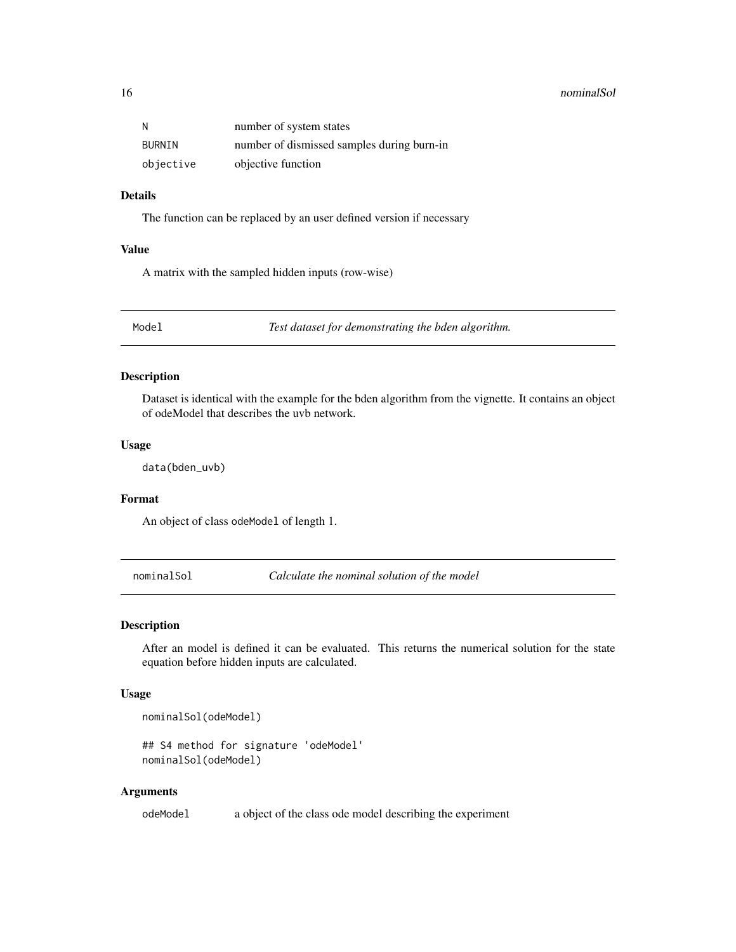#### <span id="page-15-0"></span>16 nominalSol

| Ν         | number of system states                    |
|-----------|--------------------------------------------|
| BURNIN    | number of dismissed samples during burn-in |
| objective | objective function                         |

## Details

The function can be replaced by an user defined version if necessary

## Value

A matrix with the sampled hidden inputs (row-wise)

Model *Test dataset for demonstrating the bden algorithm.*

## Description

Dataset is identical with the example for the bden algorithm from the vignette. It contains an object of odeModel that describes the uvb network.

#### Usage

data(bden\_uvb)

#### Format

An object of class odeModel of length 1.

nominalSol *Calculate the nominal solution of the model*

#### Description

After an model is defined it can be evaluated. This returns the numerical solution for the state equation before hidden inputs are calculated.

### Usage

```
nominalSol(odeModel)
```

```
## S4 method for signature 'odeModel'
nominalSol(odeModel)
```
#### Arguments

odeModel a object of the class ode model describing the experiment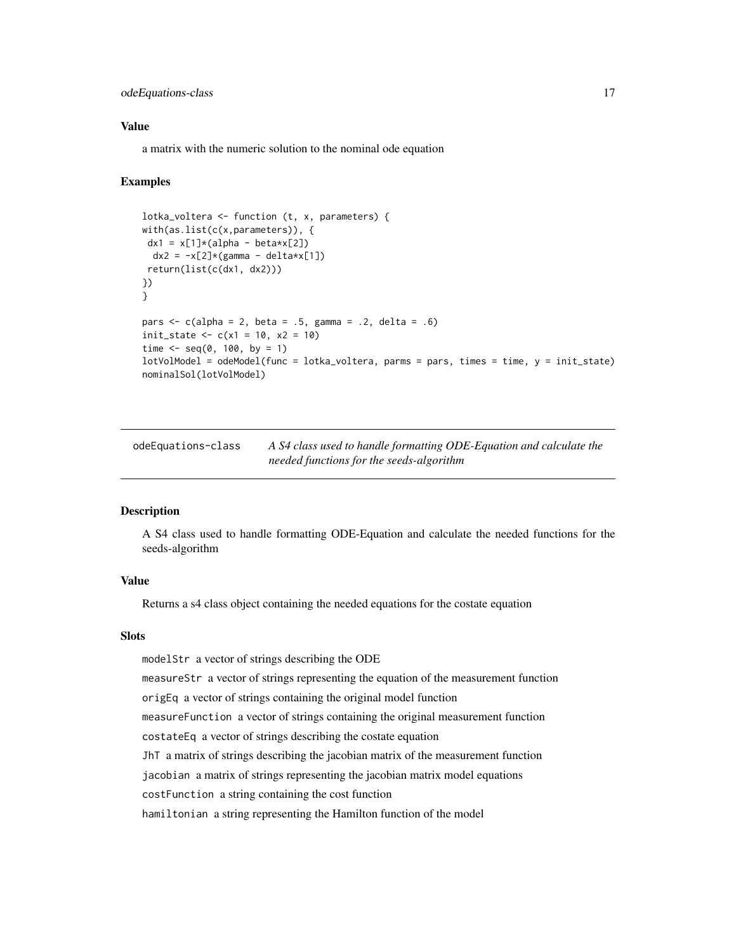## <span id="page-16-0"></span>odeEquations-class 17

#### Value

a matrix with the numeric solution to the nominal ode equation

## Examples

```
lotka_voltera <- function (t, x, parameters) {
with(as.list(c(x,parameters)), {
dx1 = x[1]*(alpha - betaxx[2])dx2 = -x[2]*(gamma - e|detaxx[1])return(list(c(dx1, dx2)))
})
}
pars \leq c(alpha = 2, beta = .5, gamma = .2, delta = .6)
init\_state \leq c(x1 = 10, x2 = 10)time \leq - seq(0, 100, by = 1)
lotVolModel = odeModel(func = lotka_voltera, parms = pars, times = time, y = init_state)
nominalSol(lotVolModel)
```
<span id="page-16-1"></span>odeEquations-class *A S4 class used to handle formatting ODE-Equation and calculate the needed functions for the seeds-algorithm*

#### Description

A S4 class used to handle formatting ODE-Equation and calculate the needed functions for the seeds-algorithm

## Value

Returns a s4 class object containing the needed equations for the costate equation

#### **Slots**

modelStr a vector of strings describing the ODE

measureStr a vector of strings representing the equation of the measurement function

origEq a vector of strings containing the original model function

measureFunction a vector of strings containing the original measurement function

costateEq a vector of strings describing the costate equation

JhT a matrix of strings describing the jacobian matrix of the measurement function

jacobian a matrix of strings representing the jacobian matrix model equations

costFunction a string containing the cost function

hamiltonian a string representing the Hamilton function of the model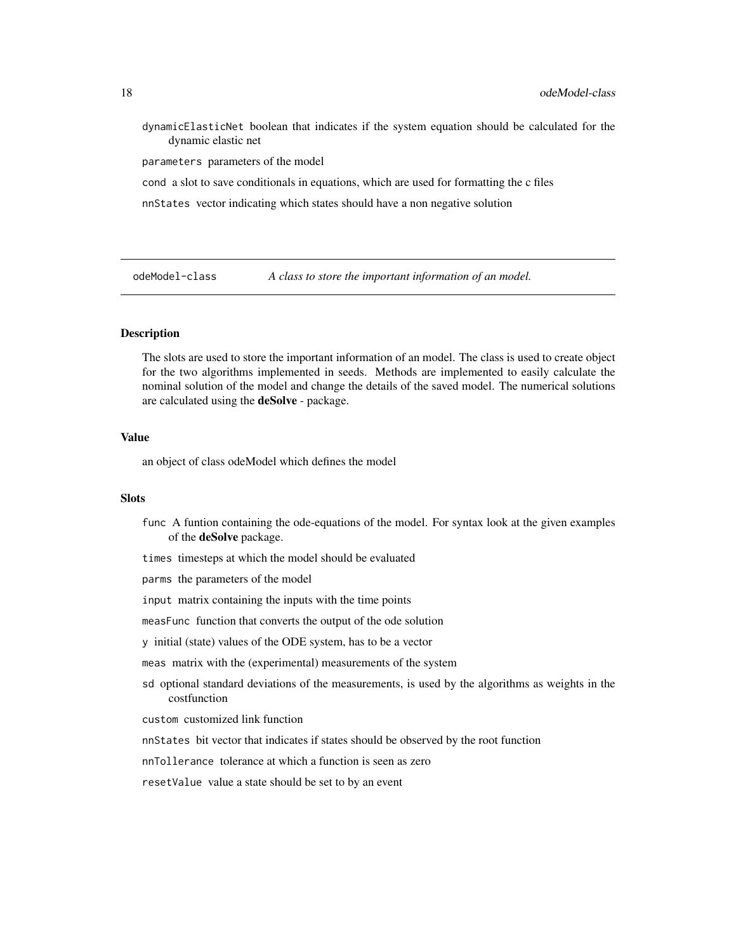<span id="page-17-0"></span>dynamicElasticNet boolean that indicates if the system equation should be calculated for the dynamic elastic net

parameters parameters of the model

cond a slot to save conditionals in equations, which are used for formatting the c files

nnStates vector indicating which states should have a non negative solution

odeModel-class *A class to store the important information of an model.*

#### <span id="page-17-1"></span>Description

The slots are used to store the important information of an model. The class is used to create object for the two algorithms implemented in seeds. Methods are implemented to easily calculate the nominal solution of the model and change the details of the saved model. The numerical solutions are calculated using the **deSolve** - package.

#### Value

an object of class odeModel which defines the model

#### **Slots**

- func A funtion containing the ode-equations of the model. For syntax look at the given examples of the deSolve package.
- times timesteps at which the model should be evaluated
- parms the parameters of the model
- input matrix containing the inputs with the time points
- measFunc function that converts the output of the ode solution
- y initial (state) values of the ODE system, has to be a vector
- meas matrix with the (experimental) measurements of the system
- sd optional standard deviations of the measurements, is used by the algorithms as weights in the costfunction

custom customized link function

nnStates bit vector that indicates if states should be observed by the root function

nnTollerance tolerance at which a function is seen as zero

resetValue value a state should be set to by an event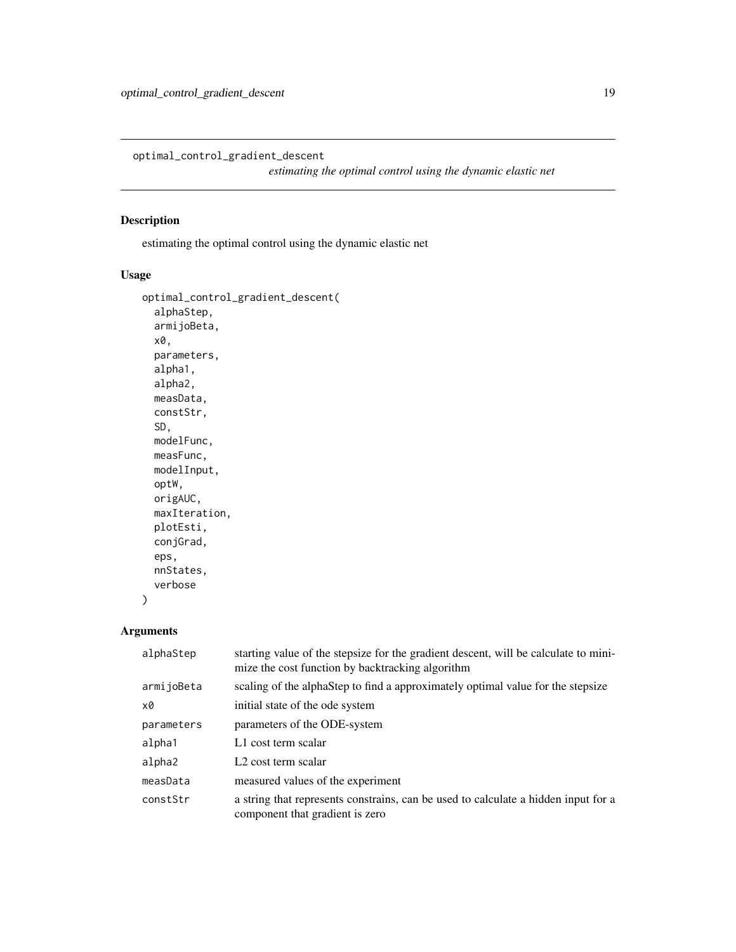<span id="page-18-0"></span>optimal\_control\_gradient\_descent

*estimating the optimal control using the dynamic elastic net*

## Description

estimating the optimal control using the dynamic elastic net

## Usage

```
optimal_control_gradient_descent(
  alphaStep,
  armijoBeta,
 x0,
  parameters,
  alpha1,
  alpha2,
 measData,
  constStr,
  SD,
 modelFunc,
 measFunc,
 modelInput,
 optW,
 origAUC,
 maxIteration,
 plotEsti,
  conjGrad,
  eps,
  nnStates,
  verbose
)
```
## Arguments

| alphaStep  | starting value of the stepsize for the gradient descent, will be calculate to mini-<br>mize the cost function by backtracking algorithm |
|------------|-----------------------------------------------------------------------------------------------------------------------------------------|
| armijoBeta | scaling of the alphaStep to find a approximately optimal value for the stepsize                                                         |
| x0         | initial state of the ode system                                                                                                         |
| parameters | parameters of the ODE-system                                                                                                            |
| alpha1     | L1 cost term scalar                                                                                                                     |
| alpha2     | L <sub>2</sub> cost term scalar                                                                                                         |
| measData   | measured values of the experiment                                                                                                       |
| constStr   | a string that represents constrains, can be used to calculate a hidden input for a<br>component that gradient is zero                   |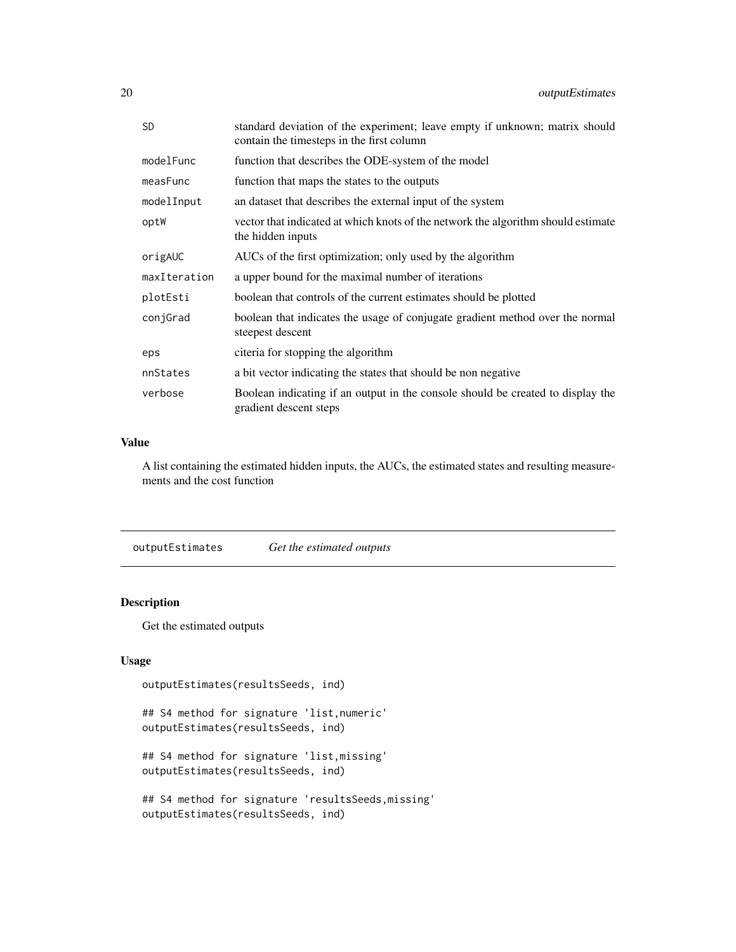<span id="page-19-0"></span>

| <b>SD</b>    | standard deviation of the experiment; leave empty if unknown; matrix should<br>contain the timesteps in the first column |
|--------------|--------------------------------------------------------------------------------------------------------------------------|
| modelFunc    | function that describes the ODE-system of the model                                                                      |
| measFunc     | function that maps the states to the outputs                                                                             |
| modelInput   | an dataset that describes the external input of the system                                                               |
| optW         | vector that indicated at which knots of the network the algorithm should estimate<br>the hidden inputs                   |
| origAUC      | AUCs of the first optimization; only used by the algorithm                                                               |
| maxIteration | a upper bound for the maximal number of iterations                                                                       |
| plotEsti     | boolean that controls of the current estimates should be plotted                                                         |
| conjGrad     | boolean that indicates the usage of conjugate gradient method over the normal<br>steepest descent                        |
| eps          | citeria for stopping the algorithm                                                                                       |
| nnStates     | a bit vector indicating the states that should be non negative                                                           |
| verbose      | Boolean indicating if an output in the console should be created to display the<br>gradient descent steps                |

## Value

A list containing the estimated hidden inputs, the AUCs, the estimated states and resulting measurements and the cost function

outputEstimates *Get the estimated outputs*

## Description

Get the estimated outputs

## Usage

```
outputEstimates(resultsSeeds, ind)
```
## S4 method for signature 'list,numeric' outputEstimates(resultsSeeds, ind)

## S4 method for signature 'list,missing' outputEstimates(resultsSeeds, ind)

```
## S4 method for signature 'resultsSeeds,missing'
outputEstimates(resultsSeeds, ind)
```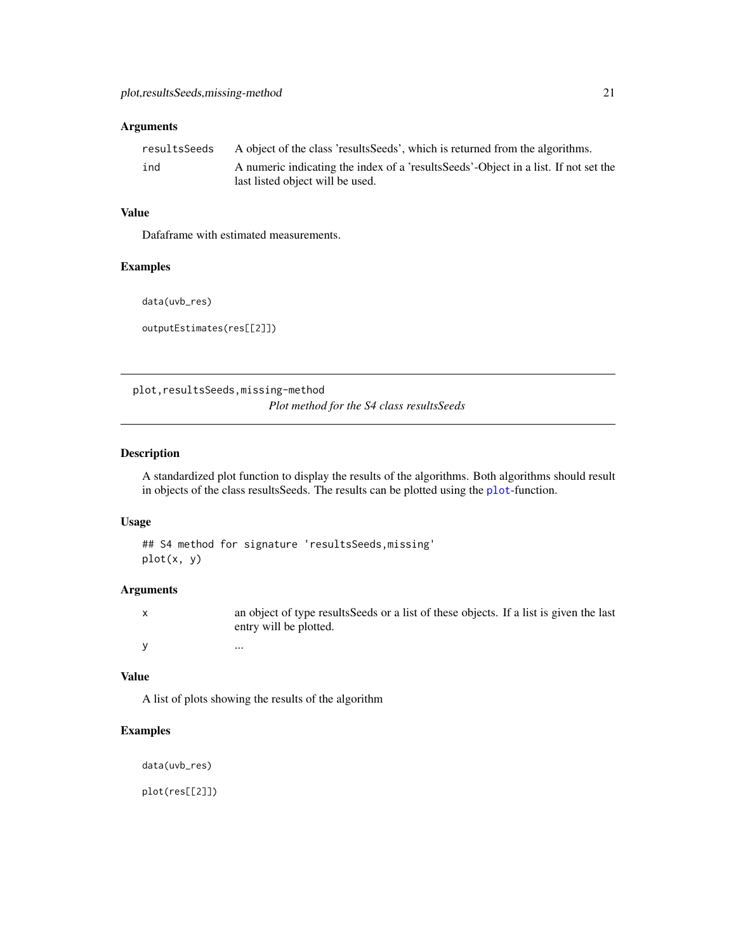#### <span id="page-20-0"></span>Arguments

| resultsSeeds | A object of the class 'results Seeds', which is returned from the algorithms.        |
|--------------|--------------------------------------------------------------------------------------|
| ind          | A numeric indicating the index of a 'results Seeds'-Object in a list. If not set the |
|              | last listed object will be used.                                                     |

## Value

Dafaframe with estimated measurements.

#### Examples

data(uvb\_res)

outputEstimates(res[[2]])

plot,resultsSeeds,missing-method *Plot method for the S4 class resultsSeeds*

## Description

A standardized plot function to display the results of the algorithms. Both algorithms should result in objects of the class resultsSeeds. The results can be plotted using the [plot](#page-0-0)-function.

## Usage

```
## S4 method for signature 'resultsSeeds,missing'
plot(x, y)
```
## Arguments

| an object of type results Seeds or a list of these objects. If a list is given the last<br>entry will be plotted. |
|-------------------------------------------------------------------------------------------------------------------|
| $\ddotsc$                                                                                                         |

#### Value

A list of plots showing the results of the algorithm

## Examples

data(uvb\_res)

plot(res[[2]])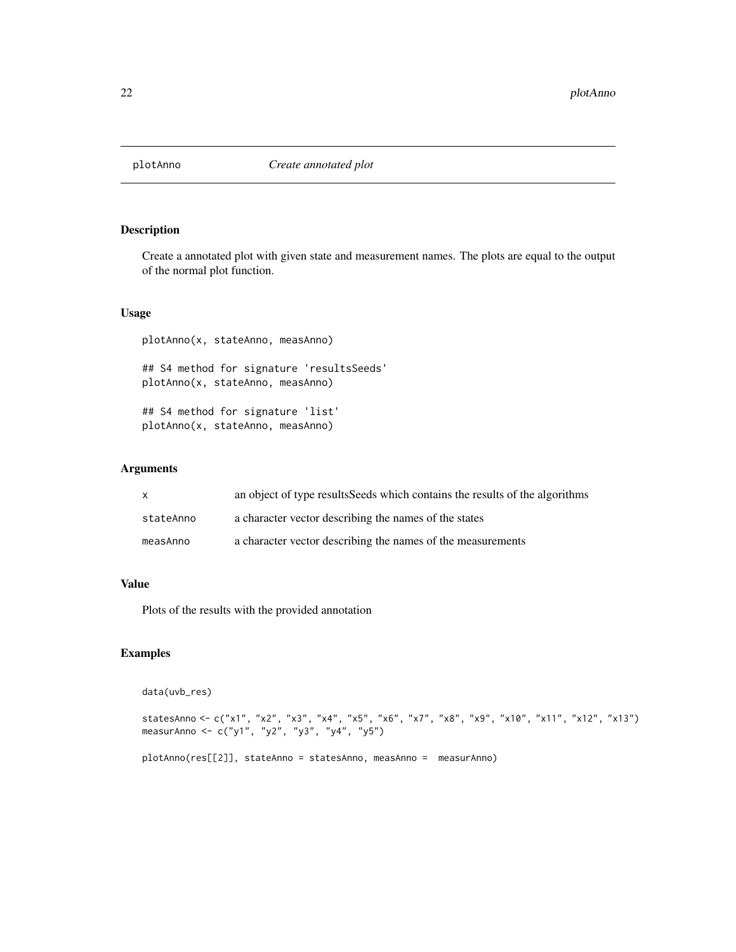<span id="page-21-0"></span>

Create a annotated plot with given state and measurement names. The plots are equal to the output of the normal plot function.

#### Usage

plotAnno(x, stateAnno, measAnno)

## S4 method for signature 'resultsSeeds' plotAnno(x, stateAnno, measAnno)

## S4 method for signature 'list' plotAnno(x, stateAnno, measAnno)

#### Arguments

| X         | an object of type results Seeds which contains the results of the algorithms |
|-----------|------------------------------------------------------------------------------|
| stateAnno | a character vector describing the names of the states                        |
| measAnno  | a character vector describing the names of the measurements                  |

#### Value

Plots of the results with the provided annotation

## Examples

data(uvb\_res)

```
statesAnno <- c("x1", "x2", "x3", "x4", "x5", "x6", "x7", "x8", "x9", "x10", "x11", "x12", "x13")
measurAnno <- c("y1", "y2", "y3", "y4", "y5")
```

```
plotAnno(res[[2]], stateAnno = statesAnno, measAnno = measurAnno)
```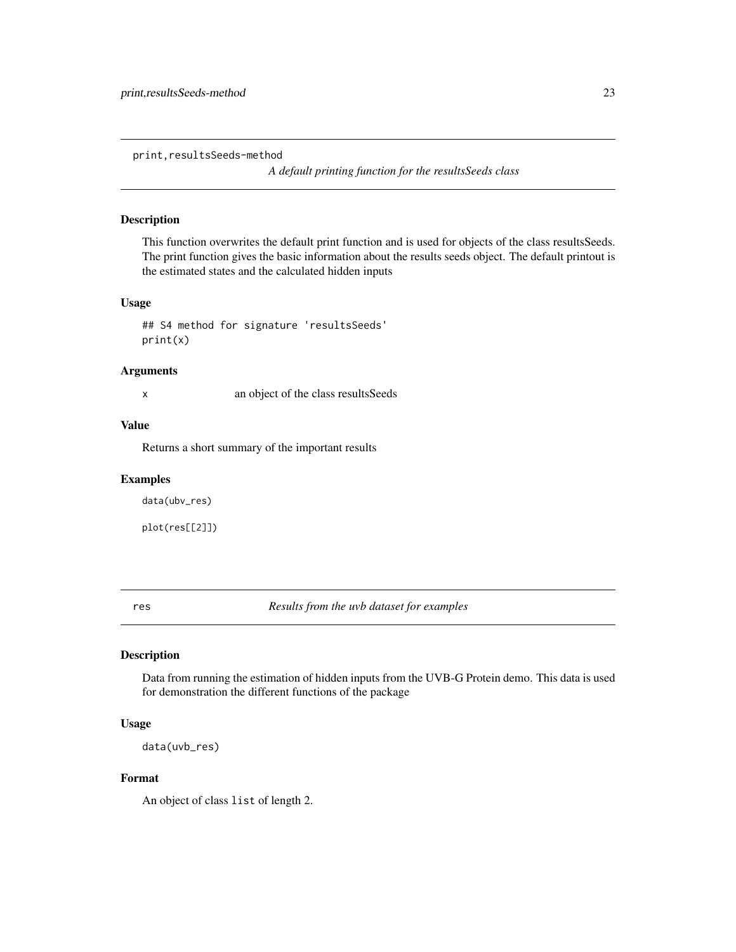<span id="page-22-0"></span>print,resultsSeeds-method

*A default printing function for the resultsSeeds class*

## Description

This function overwrites the default print function and is used for objects of the class resultsSeeds. The print function gives the basic information about the results seeds object. The default printout is the estimated states and the calculated hidden inputs

## Usage

```
## S4 method for signature 'resultsSeeds'
print(x)
```
#### Arguments

x an object of the class resultsSeeds

#### Value

Returns a short summary of the important results

#### Examples

data(ubv\_res)

plot(res[[2]])

res *Results from the uvb dataset for examples*

## Description

Data from running the estimation of hidden inputs from the UVB-G Protein demo. This data is used for demonstration the different functions of the package

#### Usage

data(uvb\_res)

#### Format

An object of class list of length 2.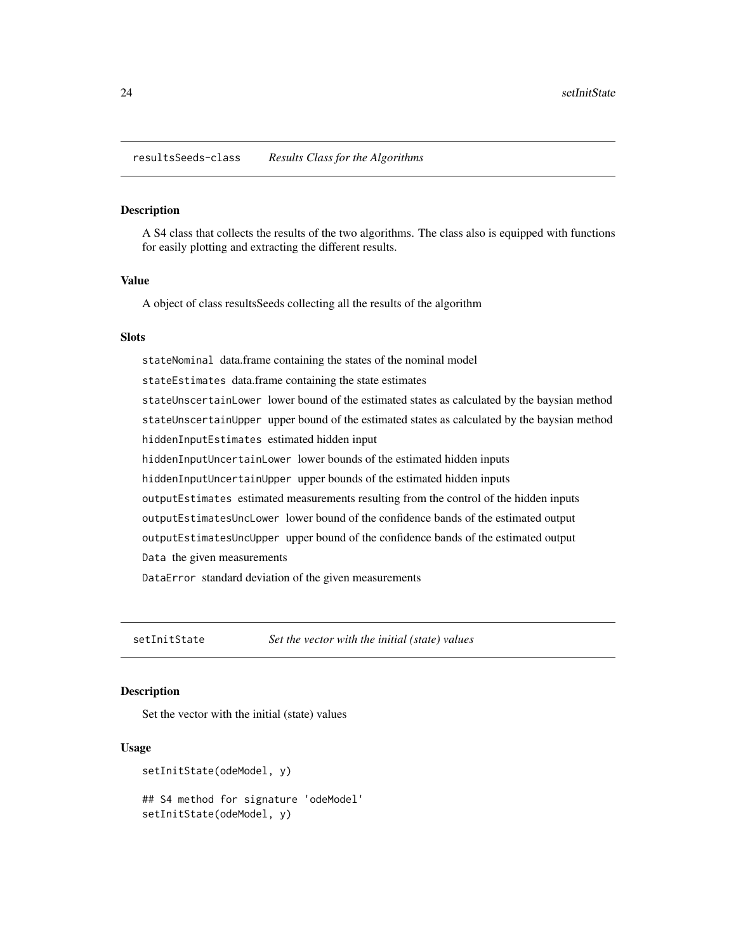<span id="page-23-0"></span>resultsSeeds-class *Results Class for the Algorithms*

#### Description

A S4 class that collects the results of the two algorithms. The class also is equipped with functions for easily plotting and extracting the different results.

## Value

A object of class resultsSeeds collecting all the results of the algorithm

## Slots

stateNominal data.frame containing the states of the nominal model stateEstimates data.frame containing the state estimates stateUnscertainLower lower bound of the estimated states as calculated by the baysian method stateUnscertainUpper upper bound of the estimated states as calculated by the baysian method hiddenInputEstimates estimated hidden input hiddenInputUncertainLower lower bounds of the estimated hidden inputs hiddenInputUncertainUpper upper bounds of the estimated hidden inputs outputEstimates estimated measurements resulting from the control of the hidden inputs outputEstimatesUncLower lower bound of the confidence bands of the estimated output outputEstimatesUncUpper upper bound of the confidence bands of the estimated output Data the given measurements DataError standard deviation of the given measurements

setInitState *Set the vector with the initial (state) values*

#### **Description**

Set the vector with the initial (state) values

#### Usage

```
setInitState(odeModel, y)
## S4 method for signature 'odeModel'
setInitState(odeModel, y)
```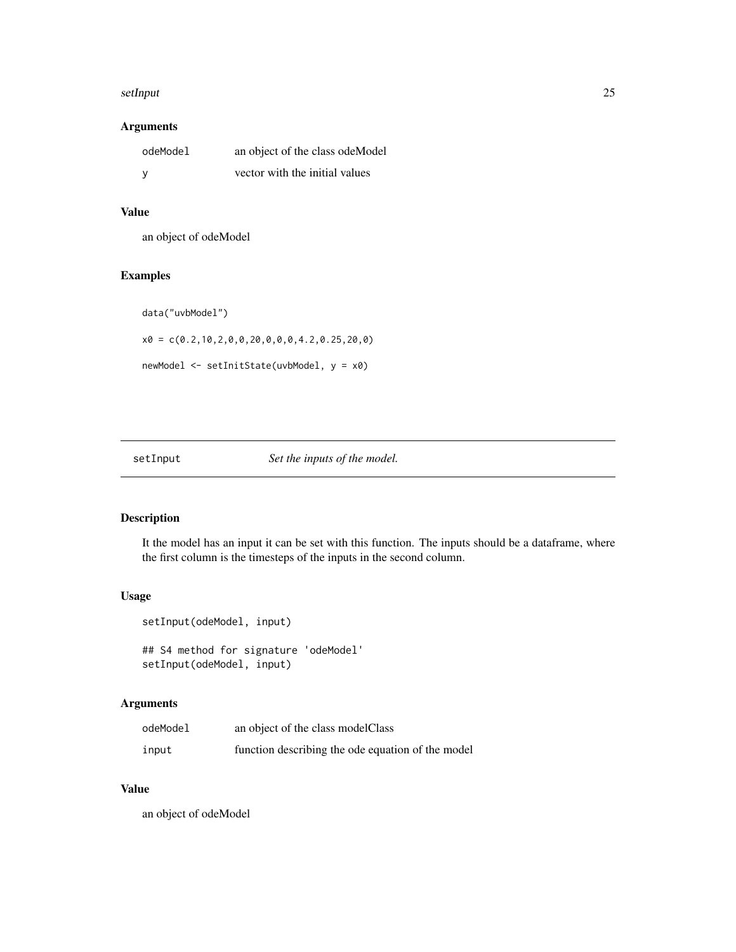#### <span id="page-24-0"></span>setInput 25

## Arguments

| odeModel | an object of the class odeModel |
|----------|---------------------------------|
| <b>V</b> | vector with the initial values  |

## Value

an object of odeModel

## Examples

data("uvbModel")

 $x0 = c(0.2, 10, 2, 0, 0, 20, 0, 0, 0, 4.2, 0.25, 20, 0)$ 

newModel <- setInitState(uvbModel, y = x0)

setInput *Set the inputs of the model.* 

## Description

It the model has an input it can be set with this function. The inputs should be a dataframe, where the first column is the timesteps of the inputs in the second column.

#### Usage

```
setInput(odeModel, input)
## S4 method for signature 'odeModel'
setInput(odeModel, input)
```
## Arguments

| odeModel | an object of the class model Class                |
|----------|---------------------------------------------------|
| input    | function describing the ode equation of the model |

## Value

an object of odeModel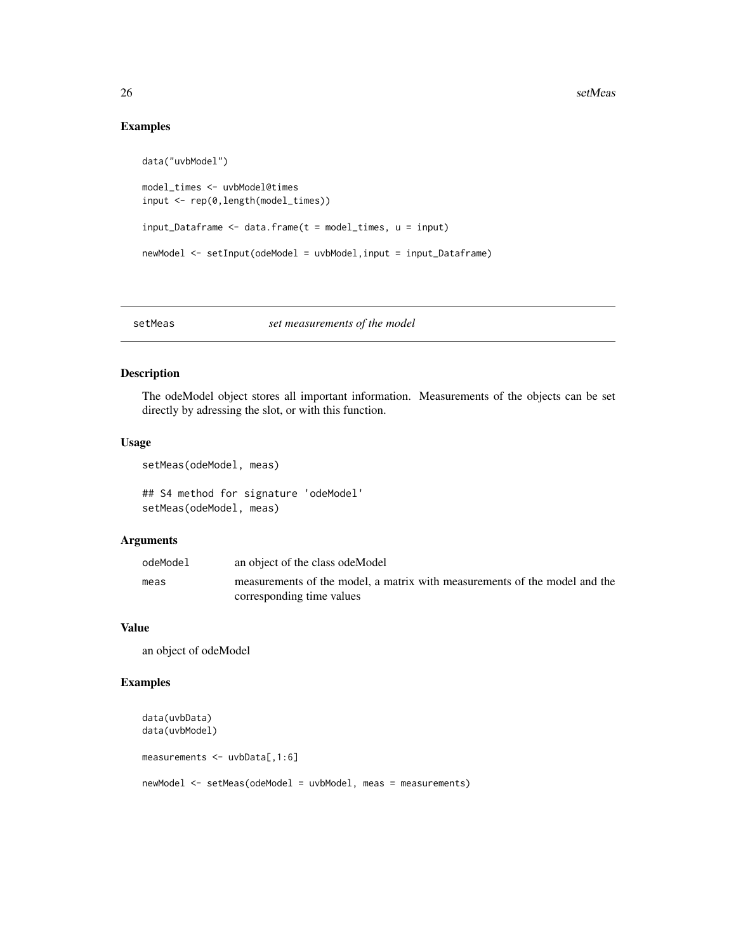## Examples

```
data("uvbModel")
model_times <- uvbModel@times
input <- rep(0,length(model_times))
input\_Dataframe \leftarrow data frame(t = model\_times, u = input)newModel <- setInput(odeModel = uvbModel,input = input_Dataframe)
```
#### setMeas *set measurements of the model*

### Description

The odeModel object stores all important information. Measurements of the objects can be set directly by adressing the slot, or with this function.

## Usage

```
setMeas(odeModel, meas)
```
## S4 method for signature 'odeModel' setMeas(odeModel, meas)

#### Arguments

| odeModel | an object of the class odeModel                                            |
|----------|----------------------------------------------------------------------------|
| meas     | measurements of the model, a matrix with measurements of the model and the |
|          | corresponding time values                                                  |

## Value

an object of odeModel

## Examples

```
data(uvbData)
data(uvbModel)
measurements <- uvbData[,1:6]
newModel <- setMeas(odeModel = uvbModel, meas = measurements)
```
<span id="page-25-0"></span>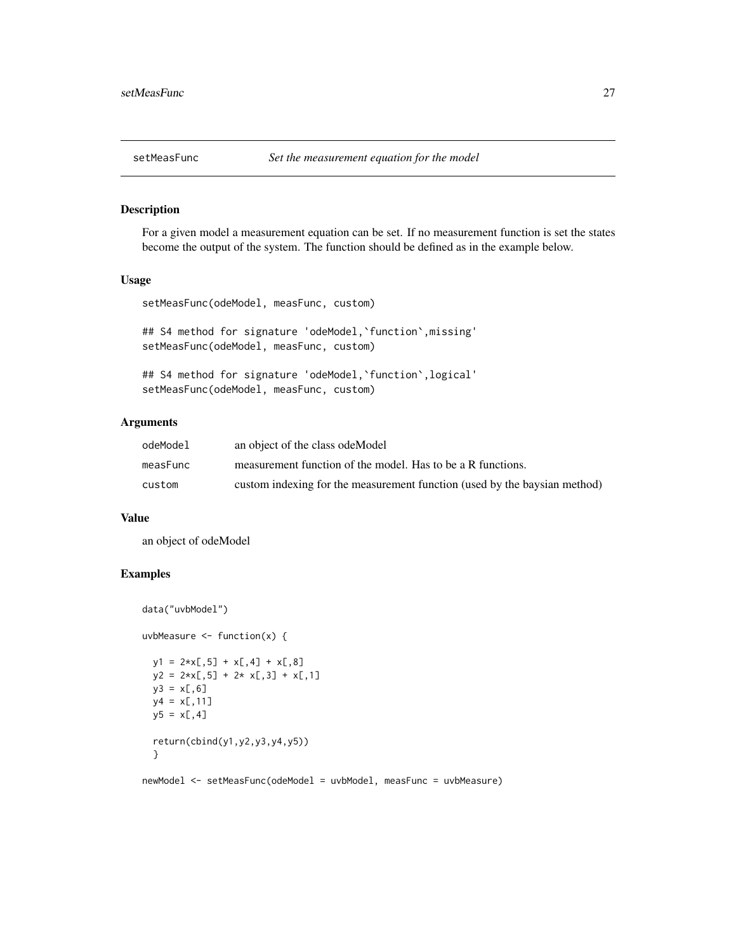<span id="page-26-0"></span>

For a given model a measurement equation can be set. If no measurement function is set the states become the output of the system. The function should be defined as in the example below.

#### Usage

setMeasFunc(odeModel, measFunc, custom)

## S4 method for signature 'odeModel, `function`, missing' setMeasFunc(odeModel, measFunc, custom)

## S4 method for signature 'odeModel, 'function', logical' setMeasFunc(odeModel, measFunc, custom)

## Arguments

| odeModel | an object of the class ode Model                                          |
|----------|---------------------------------------------------------------------------|
| measFunc | measurement function of the model. Has to be a R functions.               |
| custom   | custom indexing for the measurement function (used by the baysian method) |

#### Value

an object of odeModel

## Examples

```
data("uvbModel")
uvbMeasure \leq function(x) {
 y1 = 2*x[, 5] + x[, 4] + x[, 8]y2 = 2*x[, 5] + 2* x[, 3] + x[, 1]y3 = x[, 6]y4 = x[, 11]y5 = x[, 4]return(cbind(y1,y2,y3,y4,y5))
 }
newModel <- setMeasFunc(odeModel = uvbModel, measFunc = uvbMeasure)
```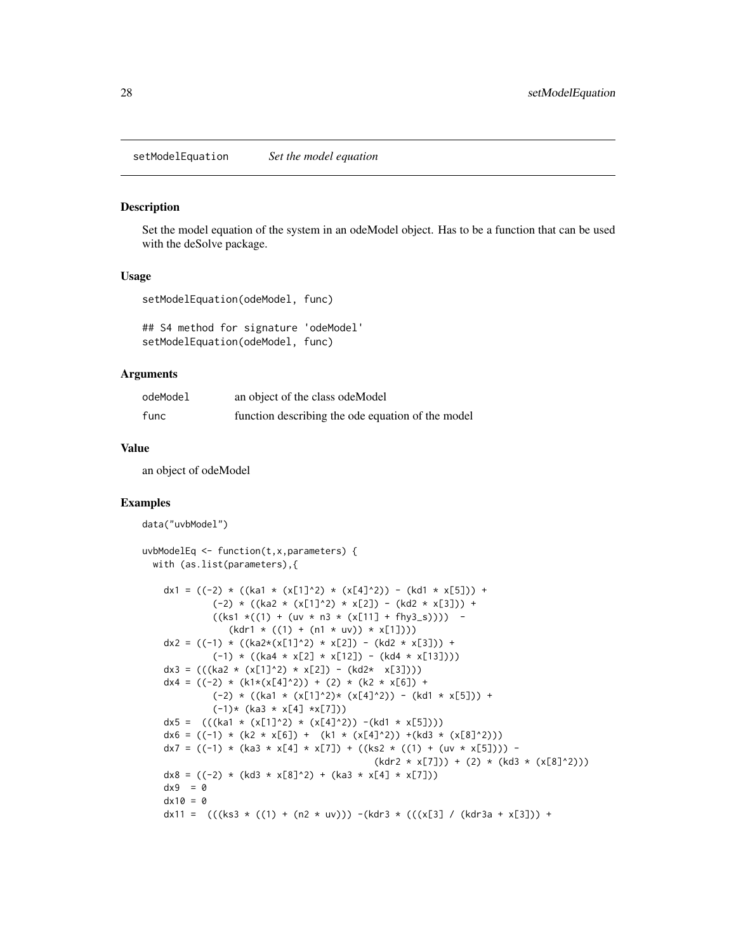<span id="page-27-0"></span>setModelEquation *Set the model equation*

#### Description

Set the model equation of the system in an odeModel object. Has to be a function that can be used with the deSolve package.

#### Usage

```
setModelEquation(odeModel, func)
```

```
## S4 method for signature 'odeModel'
setModelEquation(odeModel, func)
```
#### Arguments

| odeModel | an object of the class ode Model                  |
|----------|---------------------------------------------------|
| func     | function describing the ode equation of the model |

#### Value

an object of odeModel

#### Examples

data("uvbModel")

```
uvbModelEq <- function(t,x,parameters) {
 with (as.list(parameters),{
    dx1 = ((-2) * ((ka1 * (x[1]^2))^ * (x[4]^2))^ - (kd1 * x[5])) +(-2) * ((ka2 * (x[1]^2))^ * x[2]) - (kd2 * x[3])) +((ks1 * ((1) + (uv * n3 * (x[11] + fhy3_s)))) -(kdr1 * ((1) + (n1 * uv)) * x[1]))dx2 = ((-1) * ((ka2*(x[1]^2))^ * x[2]) - (kd2 * x[3])) +(-1) * ((ka4 * x[2] * x[12]) - (kd4 * x[13]))dx3 = (((ka2 * (x[1]^2)^ * x[2]) - (kd2 * x[3]))dx4 = ((-2) * (k1*(x[4]^2))^ + (2) * (k2 * x[6]) +(-2) * ((ka1 * (x[1]^2))^* (x[4]^2)) - (kd1 * x[5])) +(-1)* (ka3 * x[4] *x[7]))
    dx5 = ((\text{ka1} \times (\text{x}[1]^2)^* \times (\text{x}[4]^2))^2 - (\text{kd1} \times \text{x}[5]))dx6 = ((-1) * (k2 * x[6]) + (k1 * (x[4]^2))^+(kd3 * (x[8]^2)^))dx7 = ((-1) * (ka3 * x[4] * x[7]) + ((ks2 * ((1) + (uv * x[5])))(kdr2 * x[7])) + (2) * (kd3 * (x[8]^2))dx8 = ((-2) * (kd3 * x[8]^2) + (ka3 * x[4] * x[7]))dx9 = 0dx10 = 0dx11 = (((ks3 * ((1) + (n2 * uv))) - (kdr3 * (((x[3] / (kdr3a + x[3])) +
```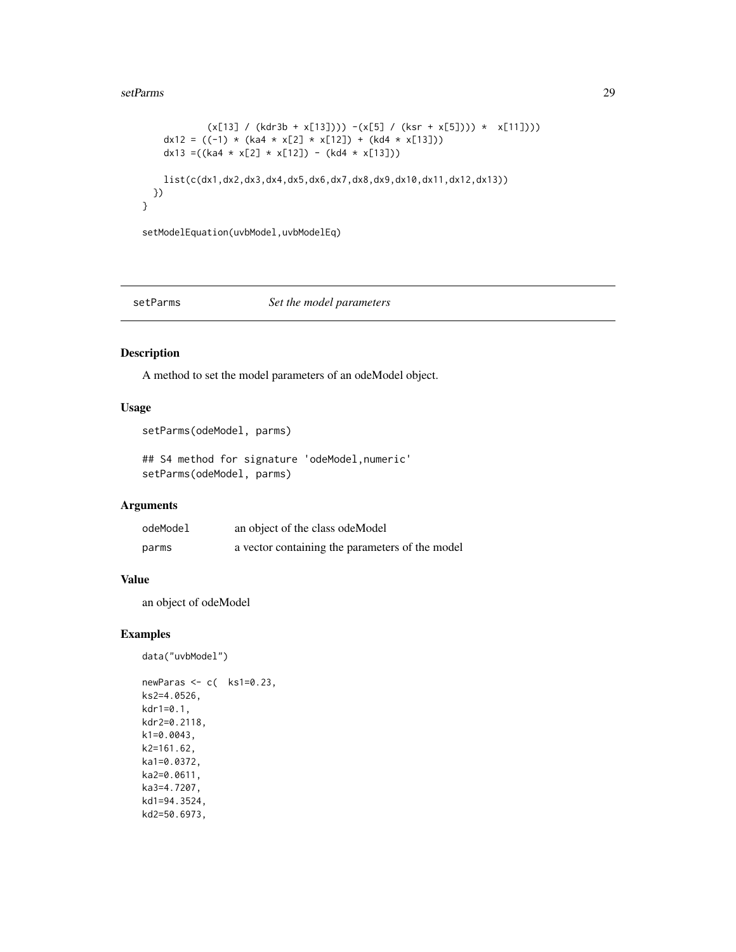#### <span id="page-28-0"></span>setParms 29

```
(x[13] / (kdr3b + x[13])) - (x[5] / (ksr + x[5]))) * (x[11]))dx12 = ((-1) * (ka4 * x[2] * x[12]) + (kd4 * x[13]))dx13 =((ka4 * x[2] * x[12]) - (kd4 * x[13]))
 list(c(dx1,dx2,dx3,dx4,dx5,dx6,dx7,dx8,dx9,dx10,dx11,dx12,dx13))
})
```
setModelEquation(uvbModel,uvbModelEq)

}

#### setParms *Set the model parameters*

#### Description

A method to set the model parameters of an odeModel object.

#### Usage

```
setParms(odeModel, parms)
```
## S4 method for signature 'odeModel,numeric' setParms(odeModel, parms)

## Arguments

| odeModel | an object of the class ode Model                |
|----------|-------------------------------------------------|
| parms    | a vector containing the parameters of the model |

## Value

an object of odeModel

## Examples

```
data("uvbModel")
```

```
newParas <- c( ks1=0.23,
ks2=4.0526,
kdr1=0.1,
kdr2=0.2118,
k1=0.0043,
k2=161.62,
ka1=0.0372,
ka2=0.0611,
ka3=4.7207,
kd1=94.3524,
kd2=50.6973,
```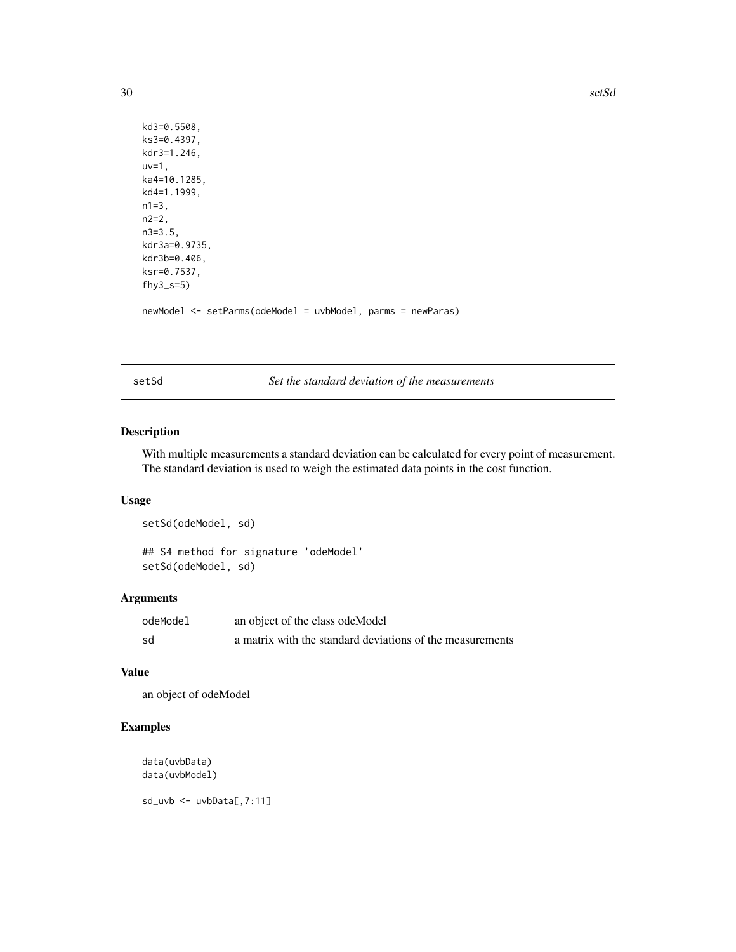```
kd3=0.5508,
ks3=0.4397,
kdr3=1.246,
uv=1,
ka4=10.1285,
kd4=1.1999,
n1=3,n2=2,
n3=3.5,
kdr3a=0.9735,
kdr3b=0.406,
ksr=0.7537,
fhy3_s=5)
newModel <- setParms(odeModel = uvbModel, parms = newParas)
```
setSd *Set the standard deviation of the measurements*

## Description

With multiple measurements a standard deviation can be calculated for every point of measurement. The standard deviation is used to weigh the estimated data points in the cost function.

#### Usage

setSd(odeModel, sd) ## S4 method for signature 'odeModel' setSd(odeModel, sd)

## Arguments

| odeModel | an object of the class odeModel                           |
|----------|-----------------------------------------------------------|
| sd       | a matrix with the standard deviations of the measurements |

#### Value

an object of odeModel

## Examples

```
data(uvbData)
data(uvbModel)
```
sd\_uvb <- uvbData[,7:11]

<span id="page-29-0"></span>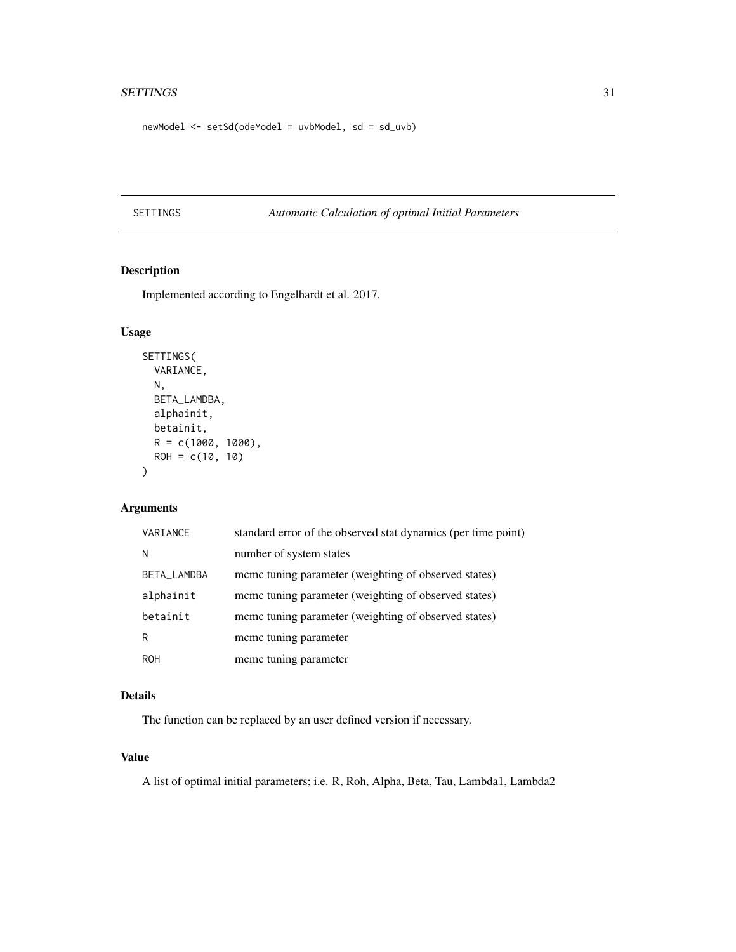#### <span id="page-30-0"></span>SETTINGS 31

newModel <- setSd(odeModel = uvbModel, sd = sd\_uvb)

SETTINGS *Automatic Calculation of optimal Initial Parameters*

## Description

Implemented according to Engelhardt et al. 2017.

## Usage

```
SETTINGS(
 VARIANCE,
 N,
 BETA_LAMDBA,
 alphainit,
 betainit,
 R = c(1000, 1000),ROH = c(10, 10))
```
## Arguments

| VARIANCE    | standard error of the observed stat dynamics (per time point) |
|-------------|---------------------------------------------------------------|
| N           | number of system states                                       |
| BETA_LAMDBA | meme tuning parameter (weighting of observed states)          |
| alphainit   | meme tuning parameter (weighting of observed states)          |
| betainit    | meme tuning parameter (weighting of observed states)          |
| R           | mcmc tuning parameter                                         |
| <b>ROH</b>  | mcmc tuning parameter                                         |

## Details

The function can be replaced by an user defined version if necessary.

## Value

A list of optimal initial parameters; i.e. R, Roh, Alpha, Beta, Tau, Lambda1, Lambda2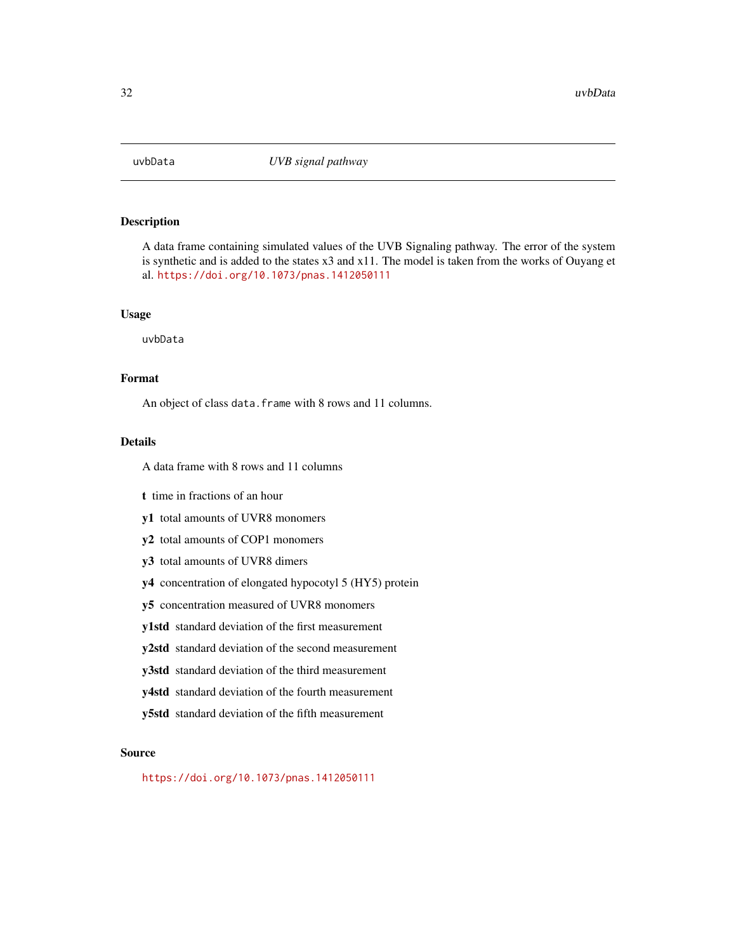<span id="page-31-0"></span>

A data frame containing simulated values of the UVB Signaling pathway. The error of the system is synthetic and is added to the states x3 and x11. The model is taken from the works of Ouyang et al. <https://doi.org/10.1073/pnas.1412050111>

#### Usage

uvbData

## Format

An object of class data. frame with 8 rows and 11 columns.

## Details

A data frame with 8 rows and 11 columns

- t time in fractions of an hour
- y1 total amounts of UVR8 monomers
- y2 total amounts of COP1 monomers
- y3 total amounts of UVR8 dimers
- y4 concentration of elongated hypocotyl 5 (HY5) protein
- y5 concentration measured of UVR8 monomers
- y1std standard deviation of the first measurement
- y2std standard deviation of the second measurement
- y3std standard deviation of the third measurement
- y4std standard deviation of the fourth measurement
- y5std standard deviation of the fifth measurement

#### Source

<https://doi.org/10.1073/pnas.1412050111>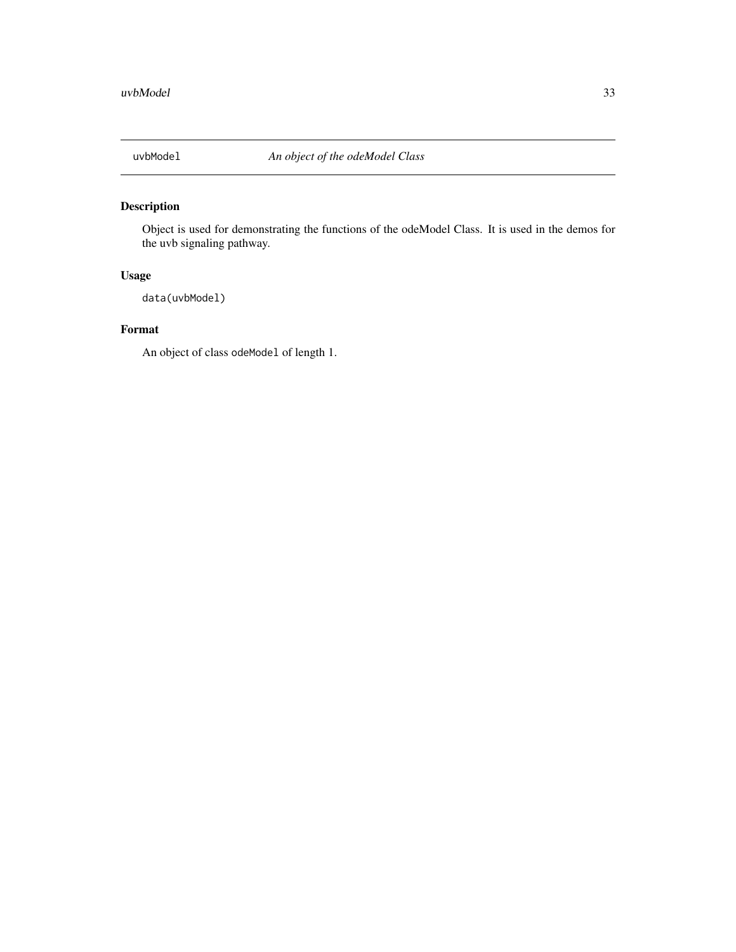<span id="page-32-0"></span>

Object is used for demonstrating the functions of the odeModel Class. It is used in the demos for the uvb signaling pathway.

## Usage

data(uvbModel)

#### Format

An object of class odeModel of length 1.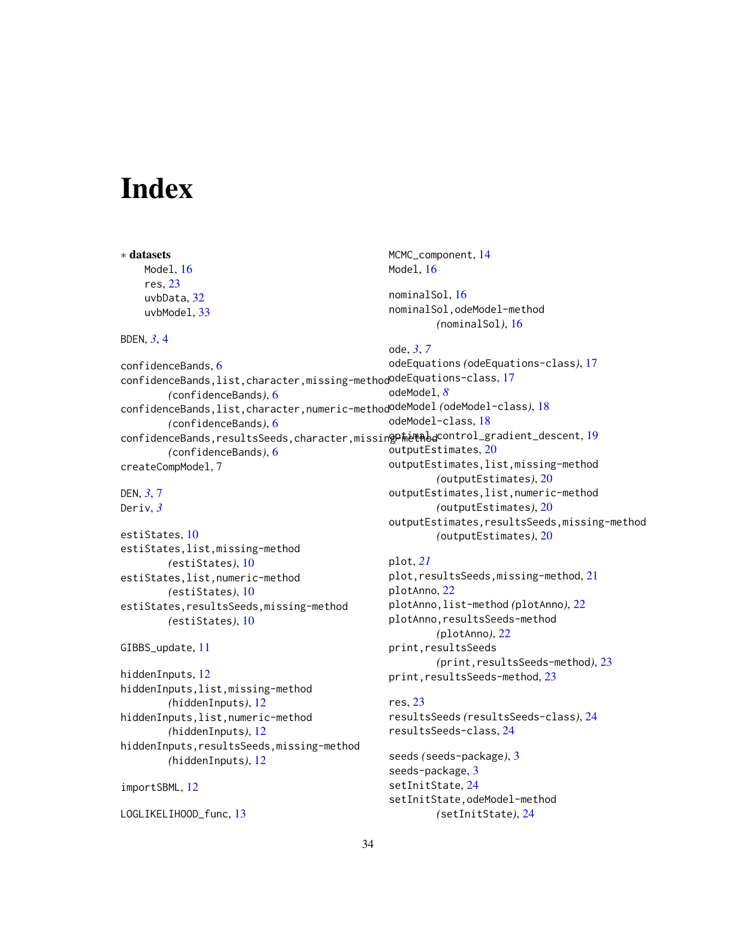# <span id="page-33-0"></span>Index

∗ datasets

```
16
    res, 23
    uvbData, 32
    uvbModel, 33
BDEN, 3, 4
confidenceBands, 6
confidenceBands,list,character,missing-method
odeEquations-class, 17
        (confidenceBands), 6
confidenceBands,list,character,numeric-method
odeModel (odeModel-class), 18
        (confidenceBands), 6
confidenceBands,resultsSeeds,character,missingP#etAbd19
        (confidenceBands), 6
createCompModel, 7
DEN, 3, 7
Deriv, 3
estiStates, 10
estiStates,list,missing-method
        (estiStates), 10
estiStates,list,numeric-method
        (estiStates), 10
estiStates,resultsSeeds,missing-method
        (estiStates), 10
GIBBS_update, 11
hiddenInputs, 12
hiddenInputs,list,missing-method
        (hiddenInputs), 12
hiddenInputs,list,numeric-method
        (hiddenInputs), 12
hiddenInputs,resultsSeeds,missing-method
        (hiddenInputs), 12
importSBML, 12
                                             Model, 16
                                             nominalSol, 16
                                             nominalSol,odeModel-method
                                                     (nominalSol), 16
                                             ode, 3, 7
                                             odeEquations (odeEquations-class), 17
                                             odeModel, 8
                                             odeModel-class, 18
                                             outputEstimates, 20
                                             outputEstimates,list,missing-method
                                                     (outputEstimates), 20
                                             outputEstimates,list,numeric-method
                                                     (outputEstimates), 20
                                             outputEstimates,resultsSeeds,missing-method
                                                     (outputEstimates), 20
                                             plot, 21
                                             21
                                             plotAnno, 22
                                             plotAnno,list-method (plotAnno), 22
                                             plotAnno,resultsSeeds-method
                                                     (plotAnno), 22
                                             print,resultsSeeds
                                                     (print,resultsSeeds-method), 23
                                             23
                                             res, 23
                                             resultsSeeds (resultsSeeds-class), 24
                                             resultsSeeds-class, 24
                                             seeds (seeds-package), 3
                                             seeds-package, 3
                                             setInitState, 24
                                             setInitState,odeModel-method
```
MCMC\_component, [14](#page-13-0)

LOGLIKELIHOOD\_func, [13](#page-12-0)

*(*setInitState*)*, [24](#page-23-0)